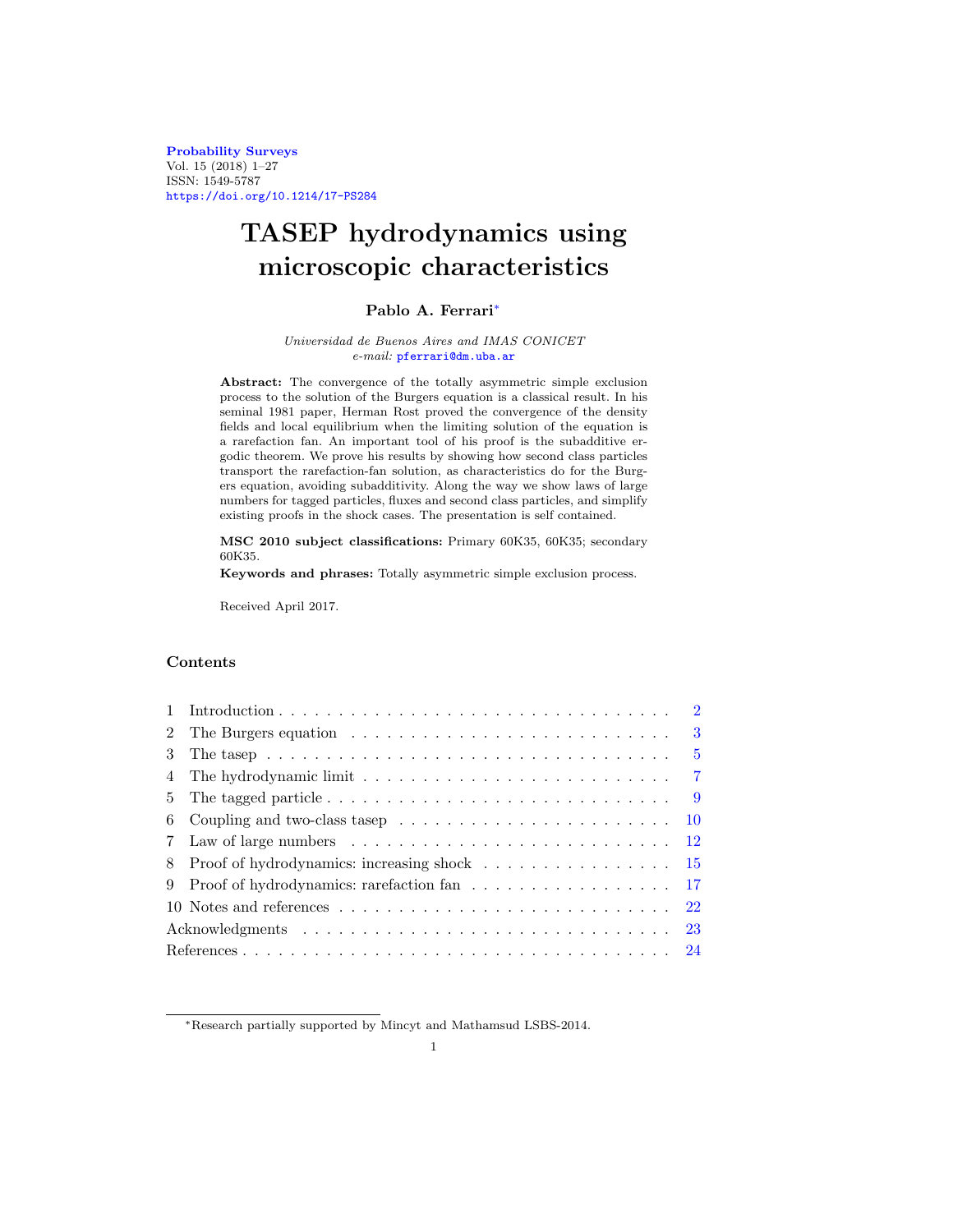**[Probability Surveys](http://www.i-journals.org/ps)** Vol. 15 (2018) 1–27 ISSN: 1549-5787 <https://doi.org/10.1214/17-PS284>

# **TASEP hydrodynamics using microscopic characteristics**

## **Pablo A. Ferrari**[∗](#page-0-0)

#### Universidad de Buenos Aires and IMAS CONICET e-mail: [pferrari@dm.uba.ar](mailto:pferrari@dm.uba.ar)

**Abstract:** The convergence of the totally asymmetric simple exclusion process to the solution of the Burgers equation is a classical result. In his seminal 1981 paper, Herman Rost proved the convergence of the density fields and local equilibrium when the limiting solution of the equation is a rarefaction fan. An important tool of his proof is the subadditive ergodic theorem. We prove his results by showing how second class particles transport the rarefaction-fan solution, as characteristics do for the Burgers equation, avoiding subadditivity. Along the way we show laws of large numbers for tagged particles, fluxes and second class particles, and simplify existing proofs in the shock cases. The presentation is self contained.

**MSC 2010 subject classifications:** Primary 60K35, 60K35; secondary 60K35.

**Keywords and phrases:** Totally asymmetric simple exclusion process.

Received April 2017.

## **Contents**

|                 | $\overline{2}$                                                                                          |
|-----------------|---------------------------------------------------------------------------------------------------------|
| 2               | 3                                                                                                       |
| 3               | The tasep $\ldots \ldots \ldots \ldots \ldots \ldots \ldots \ldots \ldots \ldots \ldots \ldots$<br>$-5$ |
|                 | $\overline{7}$                                                                                          |
| $5 -$           | -9                                                                                                      |
| 6               | Coupling and two-class tasep $\ldots \ldots \ldots \ldots \ldots \ldots \ldots \ldots$<br><b>10</b>     |
| $7\phantom{.0}$ | <sup>12</sup>                                                                                           |
| 8               | -15                                                                                                     |
| 9               | Proof of hydrodynamics: rarefaction fan 17                                                              |
|                 | 22                                                                                                      |
|                 | 23                                                                                                      |
|                 |                                                                                                         |

<span id="page-0-0"></span><sup>∗</sup>Research partially supported by Mincyt and Mathamsud LSBS-2014.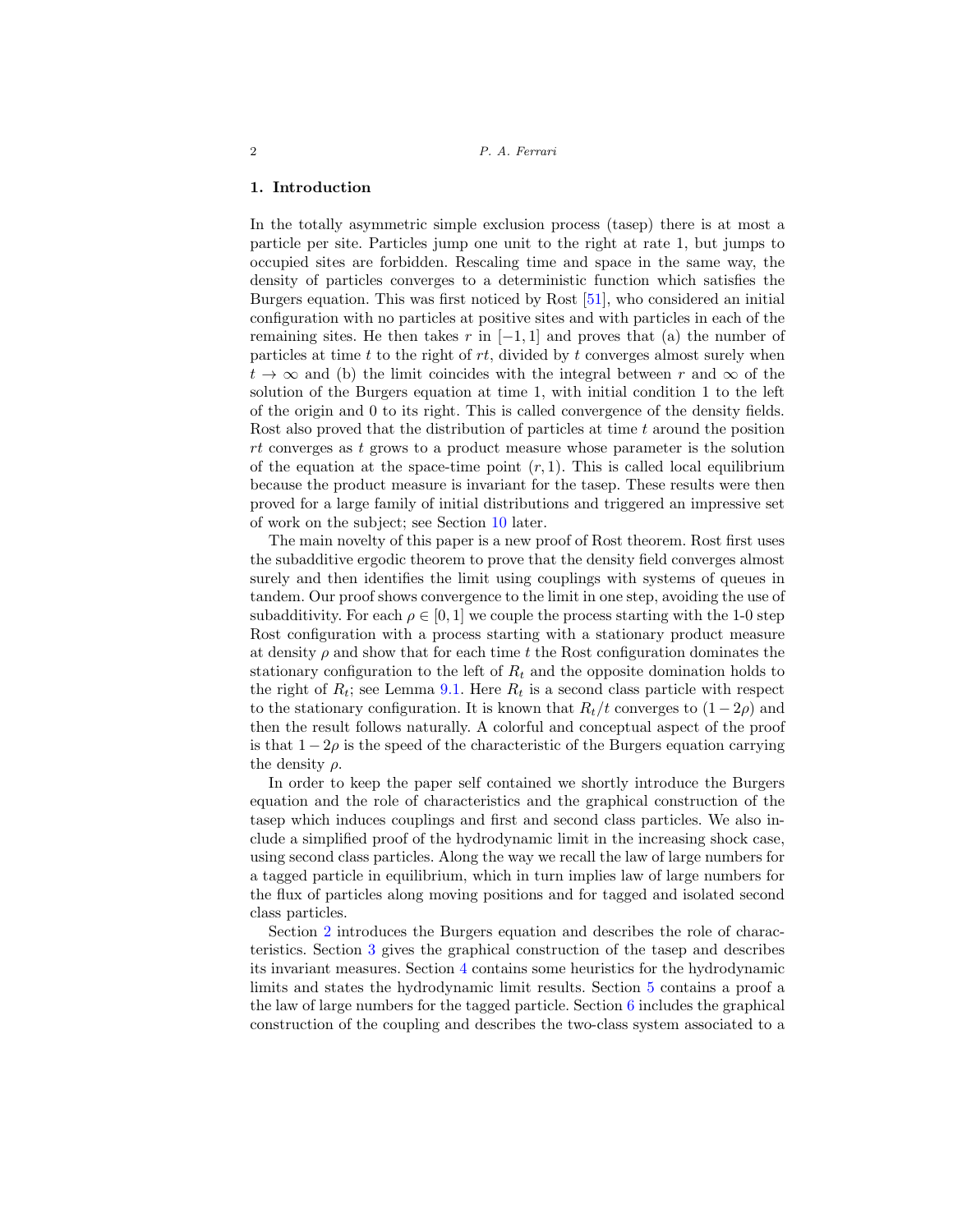#### <span id="page-1-0"></span>**1. Introduction**

In the totally asymmetric simple exclusion process (tasep) there is at most a particle per site. Particles jump one unit to the right at rate 1, but jumps to occupied sites are forbidden. Rescaling time and space in the same way, the density of particles converges to a deterministic function which satisfies the Burgers equation. This was first noticed by Rost [\[51](#page-25-0)], who considered an initial configuration with no particles at positive sites and with particles in each of the remaining sites. He then takes r in  $[-1, 1]$  and proves that (a) the number of particles at time t to the right of  $rt$ , divided by t converges almost surely when  $t \to \infty$  and (b) the limit coincides with the integral between r and  $\infty$  of the solution of the Burgers equation at time 1, with initial condition 1 to the left of the origin and 0 to its right. This is called convergence of the density fields. Rost also proved that the distribution of particles at time  $t$  around the position rt converges as t grows to a product measure whose parameter is the solution of the equation at the space-time point  $(r, 1)$ . This is called local equilibrium because the product measure is invariant for the tasep. These results were then proved for a large family of initial distributions and triggered an impressive set of work on the subject; see Section [10](#page-21-0) later.

The main novelty of this paper is a new proof of Rost theorem. Rost first uses the subadditive ergodic theorem to prove that the density field converges almost surely and then identifies the limit using couplings with systems of queues in tandem. Our proof shows convergence to the limit in one step, avoiding the use of subadditivity. For each  $\rho \in [0, 1]$  we couple the process starting with the 1-0 step Rost configuration with a process starting with a stationary product measure at density  $\rho$  and show that for each time t the Rost configuration dominates the stationary configuration to the left of  $R_t$  and the opposite domination holds to the right of  $R_t$ ; see Lemma [9.1.](#page-16-1) Here  $R_t$  is a second class particle with respect to the stationary configuration. It is known that  $R_t/t$  converges to  $(1-2\rho)$  and then the result follows naturally. A colorful and conceptual aspect of the proof is that  $1 - 2\rho$  is the speed of the characteristic of the Burgers equation carrying the density  $\rho$ .

In order to keep the paper self contained we shortly introduce the Burgers equation and the role of characteristics and the graphical construction of the tasep which induces couplings and first and second class particles. We also include a simplified proof of the hydrodynamic limit in the increasing shock case, using second class particles. Along the way we recall the law of large numbers for a tagged particle in equilibrium, which in turn implies law of large numbers for the flux of particles along moving positions and for tagged and isolated second class particles.

Section [2](#page-2-0) introduces the Burgers equation and describes the role of characteristics. Section [3](#page-4-0) gives the graphical construction of the tasep and describes its invariant measures. Section [4](#page-6-0) contains some heuristics for the hydrodynamic limits and states the hydrodynamic limit results. Section [5](#page-8-0) contains a proof a the law of large numbers for the tagged particle. Section  $6$  includes the graphical construction of the coupling and describes the two-class system associated to a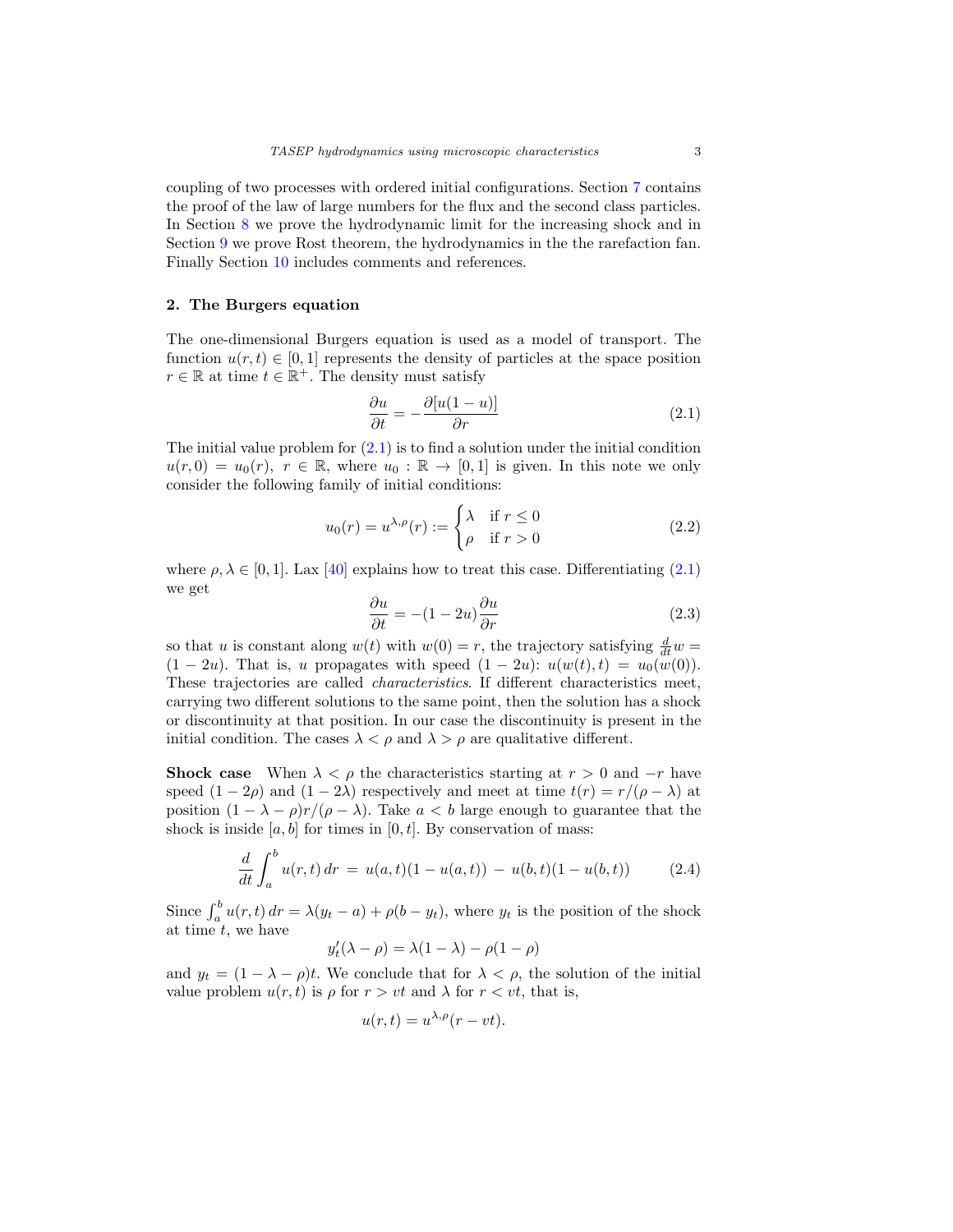coupling of two processes with ordered initial configurations. Section [7](#page-11-0) contains the proof of the law of large numbers for the flux and the second class particles. In Section [8](#page-14-0) we prove the hydrodynamic limit for the increasing shock and in Section [9](#page-16-0) we prove Rost theorem, the hydrodynamics in the the rarefaction fan. Finally Section [10](#page-21-0) includes comments and references.

## <span id="page-2-0"></span>**2. The Burgers equation**

The one-dimensional Burgers equation is used as a model of transport. The function  $u(r, t) \in [0, 1]$  represents the density of particles at the space position  $r \in \mathbb{R}$  at time  $t \in \mathbb{R}^+$ . The density must satisfy

<span id="page-2-1"></span>
$$
\frac{\partial u}{\partial t} = -\frac{\partial [u(1-u)]}{\partial r} \tag{2.1}
$$

The initial value problem for  $(2.1)$  is to find a solution under the initial condition  $u(r, 0) = u_0(r)$ ,  $r \in \mathbb{R}$ , where  $u_0 : \mathbb{R} \to [0, 1]$  is given. In this note we only consider the following family of initial conditions:

$$
u_0(r) = u^{\lambda,\rho}(r) := \begin{cases} \lambda & \text{if } r \le 0\\ \rho & \text{if } r > 0 \end{cases}
$$
 (2.2)

where  $\rho, \lambda \in [0, 1]$ . Lax [\[40\]](#page-25-1) explains how to treat this case. Differentiating [\(2.1\)](#page-2-1) we get

<span id="page-2-2"></span>
$$
\frac{\partial u}{\partial t} = -(1 - 2u)\frac{\partial u}{\partial r}
$$
\n(2.3)

so that u is constant along  $w(t)$  with  $w(0) = r$ , the trajectory satisfying  $\frac{d}{dt}w =$  $(1 - 2u)$ . That is, u propagates with speed  $(1 - 2u)$ :  $u(w(t), t) = u_0(w(0))$ . These trajectories are called characteristics. If different characteristics meet, carrying two different solutions to the same point, then the solution has a shock or discontinuity at that position. In our case the discontinuity is present in the initial condition. The cases  $\lambda < \rho$  and  $\lambda > \rho$  are qualitative different.

**Shock case** When  $\lambda < \rho$  the characteristics starting at  $r > 0$  and  $-r$  have speed  $(1 - 2\rho)$  and  $(1 - 2\lambda)$  respectively and meet at time  $t(r) = r/(\rho - \lambda)$  at position  $(1 - \lambda - \rho)r/(\rho - \lambda)$ . Take  $a < b$  large enough to guarantee that the shock is inside  $[a, b]$  for times in  $[0, t]$ . By conservation of mass:

$$
\frac{d}{dt} \int_{a}^{b} u(r, t) dr = u(a, t)(1 - u(a, t)) - u(b, t)(1 - u(b, t)) \tag{2.4}
$$

Since  $\int_a^b u(r,t) dr = \lambda(y_t - a) + \rho(b - y_t)$ , where  $y_t$  is the position of the shock at time  $t$ , we have

$$
y_t'(\lambda - \rho) = \lambda(1 - \lambda) - \rho(1 - \rho)
$$

and  $y_t = (1 - \lambda - \rho)t$ . We conclude that for  $\lambda < \rho$ , the solution of the initial value problem  $u(r, t)$  is  $\rho$  for  $r > vt$  and  $\lambda$  for  $r < vt$ , that is,

$$
u(r,t) = u^{\lambda,\rho}(r - vt).
$$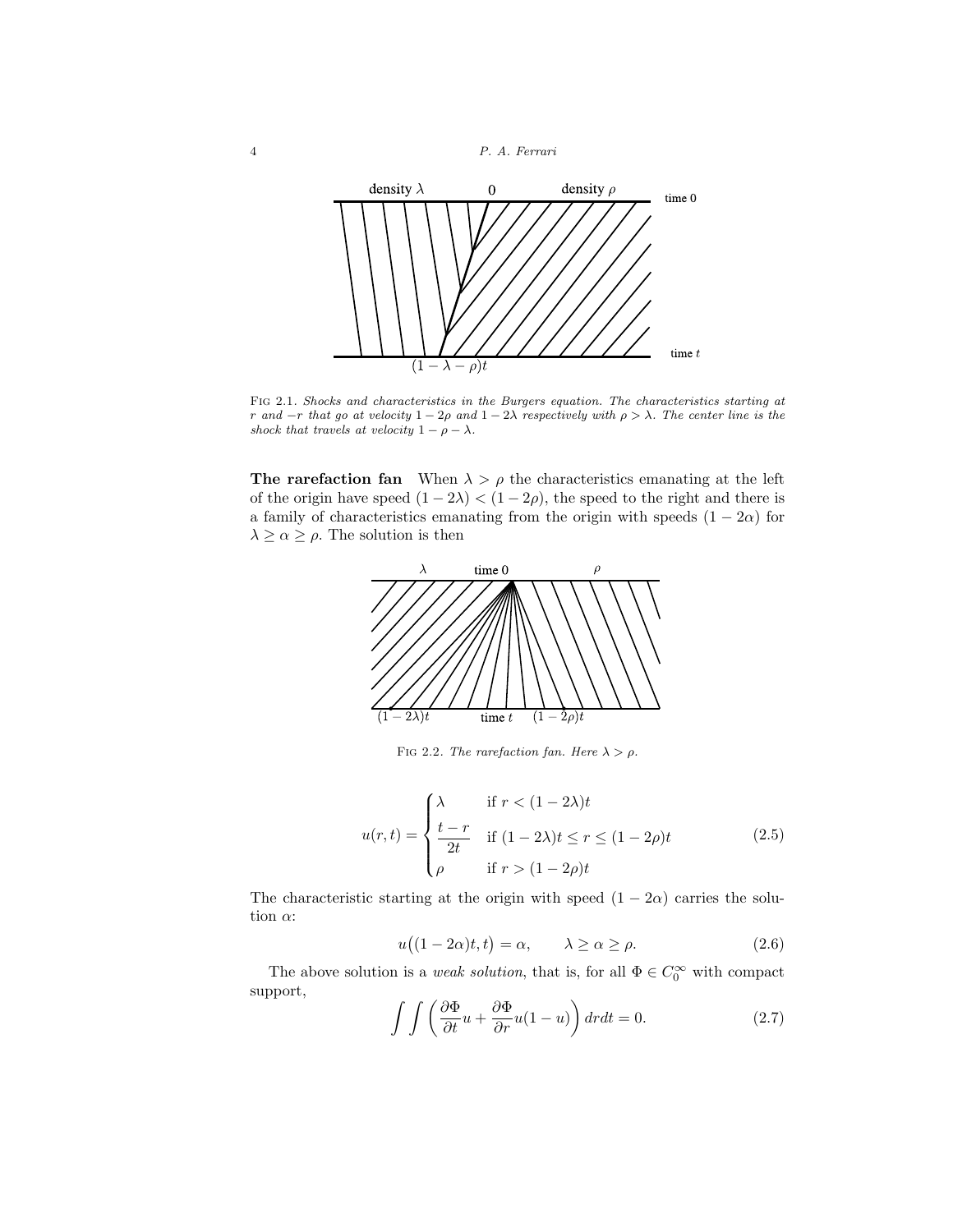4 P. A. Ferrari



<span id="page-3-2"></span>Fig 2.1. Shocks and characteristics in the Burgers equation. The characteristics starting at r and  $-r$  that go at velocity  $1-2\rho$  and  $1-2\lambda$  respectively with  $\rho > \lambda$ . The center line is the shock that travels at velocity  $1 - \rho - \lambda$ .

**The rarefaction fan** When  $\lambda > \rho$  the characteristics emanating at the left of the origin have speed  $(1 - 2\lambda) < (1 - 2\rho)$ , the speed to the right and there is a family of characteristics emanating from the origin with speeds  $(1 - 2\alpha)$  for  $\lambda \geq \alpha \geq \rho$ . The solution is then



<span id="page-3-1"></span><span id="page-3-0"></span>FIG 2.2. The rarefaction fan. Here  $\lambda > \rho$ .

$$
u(r,t) = \begin{cases} \lambda & \text{if } r < (1-2\lambda)t \\ \frac{t-r}{2t} & \text{if } (1-2\lambda)t \le r \le (1-2\rho)t \\ \rho & \text{if } r > (1-2\rho)t \end{cases} \tag{2.5}
$$

The characteristic starting at the origin with speed  $(1 - 2\alpha)$  carries the solution  $\alpha$ :

$$
u((1 - 2\alpha)t, t) = \alpha, \qquad \lambda \ge \alpha \ge \rho. \tag{2.6}
$$

The above solution is a *weak solution*, that is, for all  $\Phi \in C_0^{\infty}$  with compact support,

$$
\int \int \left(\frac{\partial \Phi}{\partial t}u + \frac{\partial \Phi}{\partial r}u(1-u)\right) dr dt = 0.
$$
 (2.7)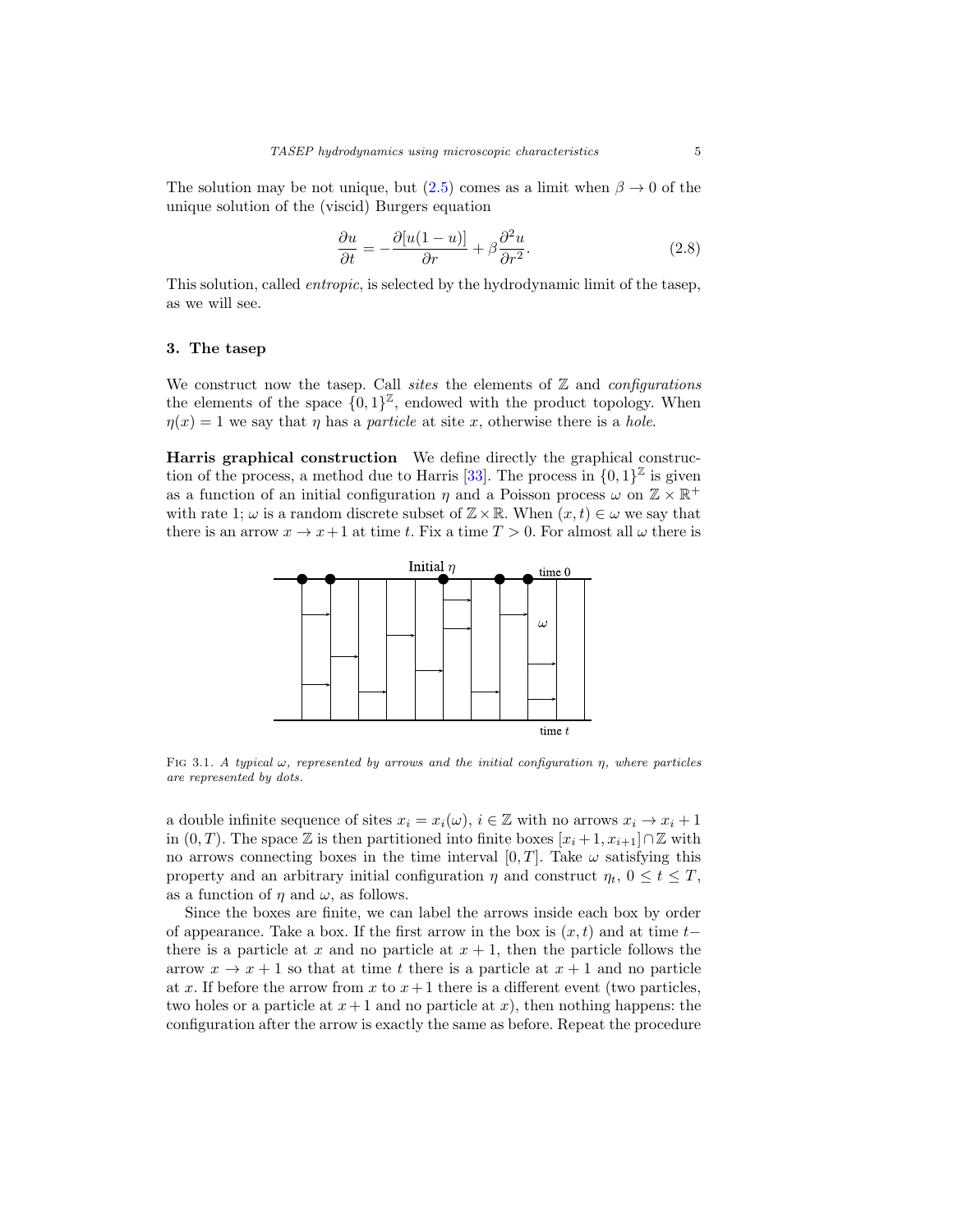The solution may be not unique, but  $(2.5)$  comes as a limit when  $\beta \to 0$  of the unique solution of the (viscid) Burgers equation

$$
\frac{\partial u}{\partial t} = -\frac{\partial [u(1-u)]}{\partial r} + \beta \frac{\partial^2 u}{\partial r^2}.
$$
\n(2.8)

This solution, called *entropic*, is selected by the hydrodynamic limit of the tasep, as we will see.

#### <span id="page-4-0"></span>**3. The tasep**

We construct now the tasep. Call sites the elements of  $Z$  and configurations the elements of the space  $\{0,1\}^{\mathbb{Z}}$ , endowed with the product topology. When  $\eta(x) = 1$  we say that  $\eta$  has a *particle* at site x, otherwise there is a *hole*.

**Harris graphical construction** We define directly the graphical construc-tion of the process, a method due to Harris [\[33](#page-24-0)]. The process in  $\{0,1\}^{\mathbb{Z}}$  is given as a function of an initial configuration  $\eta$  and a Poisson process  $\omega$  on  $\mathbb{Z} \times \mathbb{R}^+$ with rate 1;  $\omega$  is a random discrete subset of  $\mathbb{Z} \times \mathbb{R}$ . When  $(x, t) \in \omega$  we say that there is an arrow  $x \to x+1$  at time t. Fix a time  $T > 0$ . For almost all  $\omega$  there is



FIG 3.1. A typical  $\omega$ , represented by arrows and the initial configuration  $\eta$ , where particles are represented by dots.

a double infinite sequence of sites  $x_i = x_i(\omega)$ ,  $i \in \mathbb{Z}$  with no arrows  $x_i \to x_i + 1$ in  $(0, T)$ . The space Z is then partitioned into finite boxes  $[x_i + 1, x_{i+1}] \cap \mathbb{Z}$  with no arrows connecting boxes in the time interval [0, T]. Take  $\omega$  satisfying this property and an arbitrary initial configuration  $\eta$  and construct  $\eta_t$ ,  $0 \le t \le T$ , as a function of  $\eta$  and  $\omega$ , as follows.

Since the boxes are finite, we can label the arrows inside each box by order of appearance. Take a box. If the first arrow in the box is  $(x, t)$  and at time t– there is a particle at x and no particle at  $x + 1$ , then the particle follows the arrow  $x \to x + 1$  so that at time t there is a particle at  $x + 1$  and no particle at x. If before the arrow from x to  $x+1$  there is a different event (two particles, two holes or a particle at  $x+1$  and no particle at x), then nothing happens: the configuration after the arrow is exactly the same as before. Repeat the procedure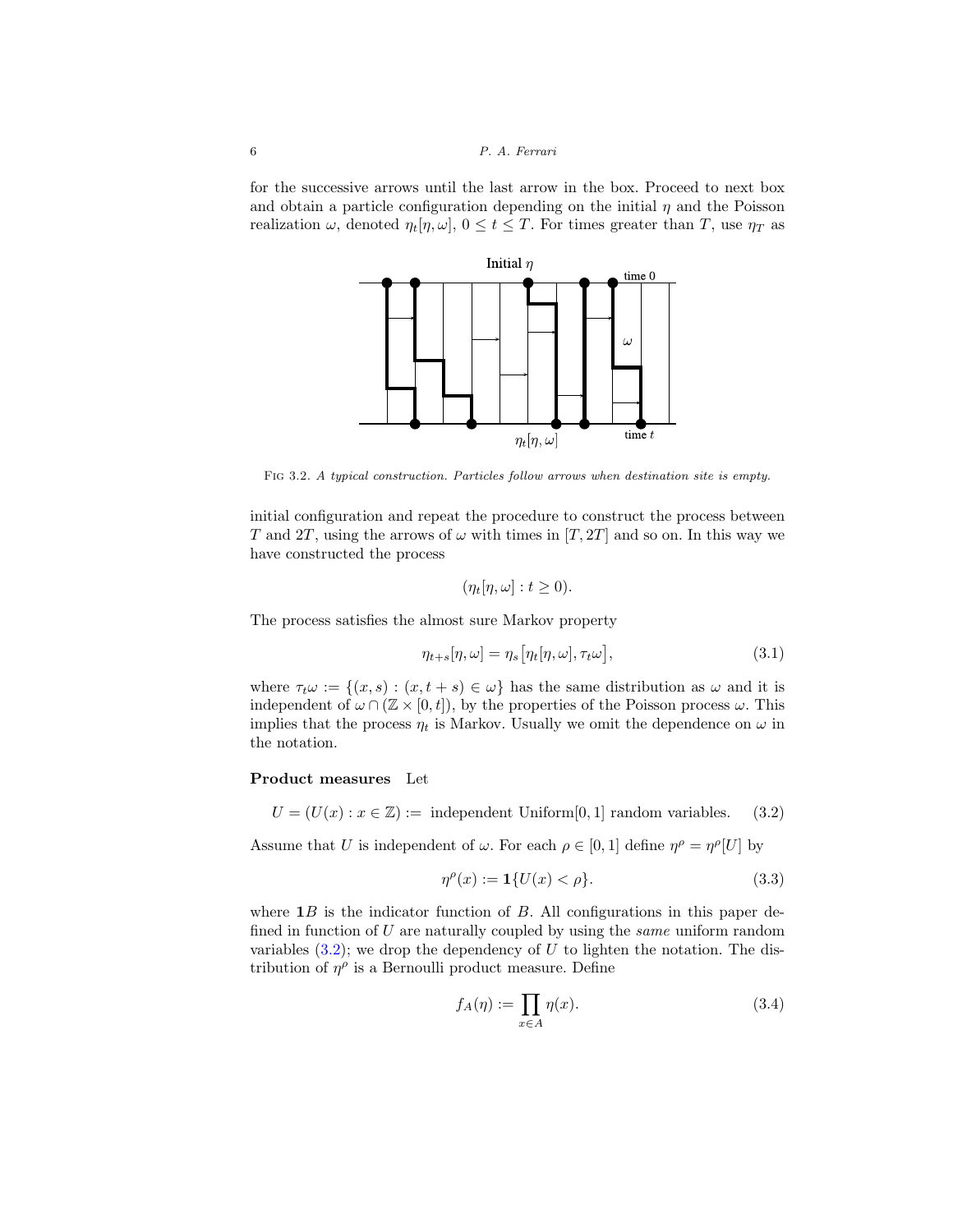for the successive arrows until the last arrow in the box. Proceed to next box and obtain a particle configuration depending on the initial  $\eta$  and the Poisson realization  $\omega$ , denoted  $\eta_t[\eta, \omega]$ ,  $0 \le t \le T$ . For times greater than T, use  $\eta_T$  as



Fig 3.2. A typical construction. Particles follow arrows when destination site is empty.

initial configuration and repeat the procedure to construct the process between T and 2T, using the arrows of  $\omega$  with times in [T, 2T] and so on. In this way we have constructed the process

$$
(\eta_t[\eta,\omega]:t\geq 0).
$$

The process satisfies the almost sure Markov property

$$
\eta_{t+s}[\eta,\omega] = \eta_s[\eta_t[\eta,\omega],\tau_t\omega],\tag{3.1}
$$

where  $\tau_t \omega := \{(x, s) : (x, t + s) \in \omega\}$  has the same distribution as  $\omega$  and it is independent of  $\omega \cap (\mathbb{Z} \times [0, t])$ , by the properties of the Poisson process  $\omega$ . This implies that the process  $\eta_t$  is Markov. Usually we omit the dependence on  $\omega$  in the notation.

#### **Product measures** Let

 $U = (U(x) : x \in \mathbb{Z}) := \text{ independent Uniform}[0,1] \text{ random variables.}$  (3.2)

Assume that U is independent of  $\omega$ . For each  $\rho \in [0,1]$  define  $\eta^{\rho} = \eta^{\rho}[U]$  by

<span id="page-5-1"></span><span id="page-5-0"></span>
$$
\eta^{\rho}(x) := \mathbf{1}\{U(x) < \rho\}.\tag{3.3}
$$

where  $\mathbf{1}B$  is the indicator function of B. All configurations in this paper defined in function of  $U$  are naturally coupled by using the *same* uniform random variables  $(3.2)$ ; we drop the dependency of U to lighten the notation. The distribution of  $\eta^{\rho}$  is a Bernoulli product measure. Define

$$
f_A(\eta) := \prod_{x \in A} \eta(x). \tag{3.4}
$$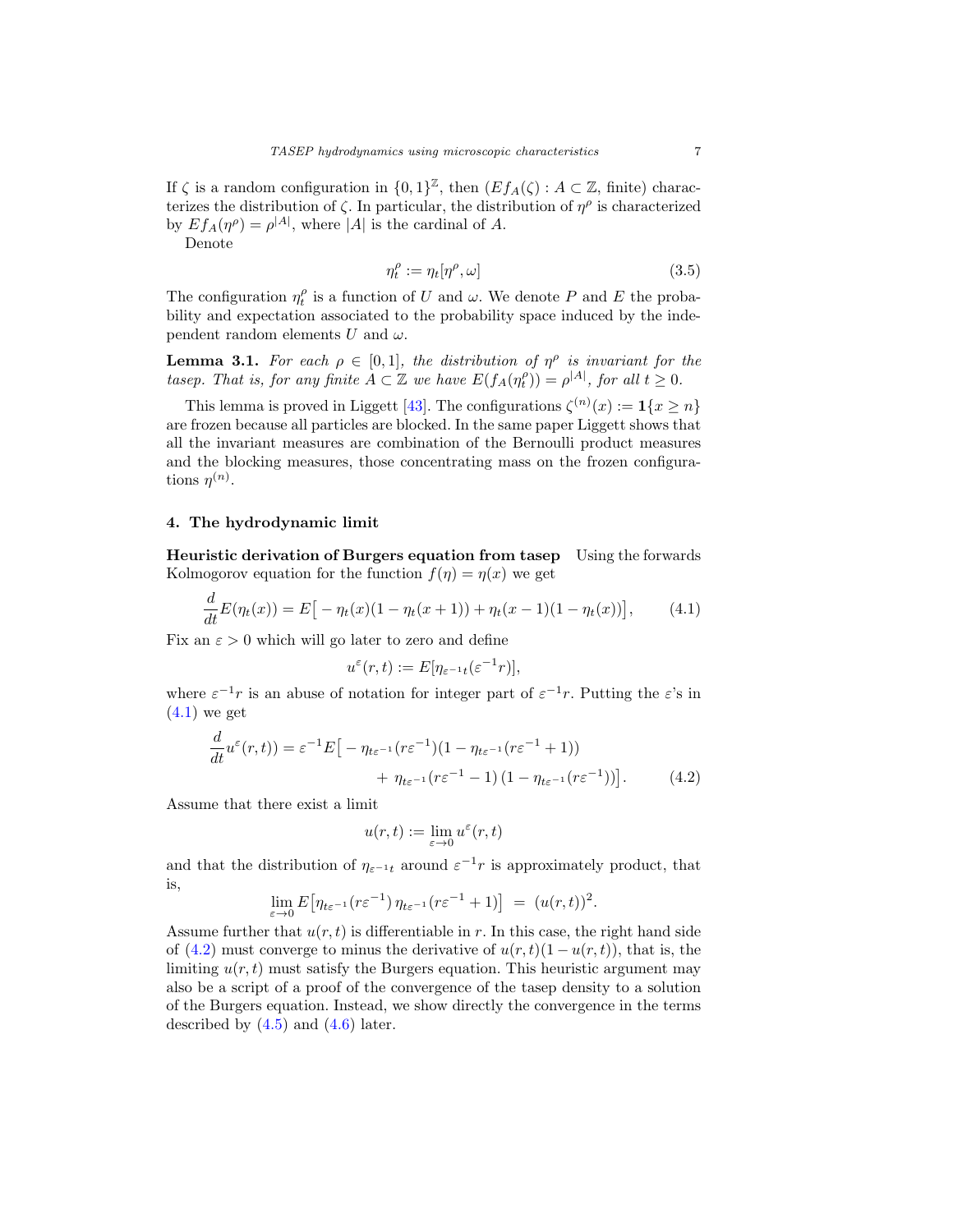If  $\zeta$  is a random configuration in  $\{0,1\}^{\mathbb{Z}}$ , then  $(Ef_A(\zeta): A \subset \mathbb{Z}$ , finite) characterizes the distribution of  $\zeta$ . In particular, the distribution of  $\eta^{\rho}$  is characterized by  $Ef_A(\eta^{\rho}) = \rho^{|A|}$ , where |A| is the cardinal of A.

Denote

 $\overline{a}$ 

$$
\eta_t^{\rho} := \eta_t[\eta^{\rho}, \omega] \tag{3.5}
$$

The configuration  $\eta_t^{\rho}$  is a function of U and  $\omega$ . We denote P and E the probability and expectation associated to the probability space induced by the independent random elements U and  $\omega$ .

<span id="page-6-3"></span>**Lemma 3.1.** For each  $\rho \in [0,1]$ , the distribution of  $\eta^{\rho}$  is invariant for the tasep. That is, for any finite  $A \subset \mathbb{Z}$  we have  $E(f_A(\eta_t^{\rho})) = \rho^{|A|}$ , for all  $t \geq 0$ .

This lemma is proved in Liggett [\[43\]](#page-25-2). The configurations  $\zeta^{(n)}(x) := \mathbf{1}\{x \ge n\}$ are frozen because all particles are blocked. In the same paper Liggett shows that all the invariant measures are combination of the Bernoulli product measures and the blocking measures, those concentrating mass on the frozen configurations  $\eta^{(n)}$ .

## <span id="page-6-0"></span>**4. The hydrodynamic limit**

**Heuristic derivation of Burgers equation from tasep** Using the forwards Kolmogorov equation for the function  $f(\eta) = \eta(x)$  we get

$$
\frac{d}{dt}E(\eta_t(x)) = E[-\eta_t(x)(1 - \eta_t(x+1)) + \eta_t(x-1)(1 - \eta_t(x))], \qquad (4.1)
$$

Fix an  $\varepsilon > 0$  which will go later to zero and define

<span id="page-6-1"></span>
$$
u^{\varepsilon}(r,t) := E[\eta_{\varepsilon^{-1}t}(\varepsilon^{-1}r)],
$$

where  $\varepsilon^{-1}r$  is an abuse of notation for integer part of  $\varepsilon^{-1}r$ . Putting the  $\varepsilon$ 's in  $(4.1)$  we get

$$
\frac{d}{dt}u^{\varepsilon}(r,t)) = \varepsilon^{-1}E\big[-\eta_{t\varepsilon^{-1}}(r\varepsilon^{-1})(1-\eta_{t\varepsilon^{-1}}(r\varepsilon^{-1}+1))\n+ \eta_{t\varepsilon^{-1}}(r\varepsilon^{-1}-1)(1-\eta_{t\varepsilon^{-1}}(r\varepsilon^{-1}))\big].
$$
\n(4.2)

Assume that there exist a limit

<span id="page-6-2"></span>
$$
u(r,t):=\lim_{\varepsilon\to 0}u^\varepsilon(r,t)
$$

and that the distribution of  $\eta_{\varepsilon^{-1}t}$  around  $\varepsilon^{-1}r$  is approximately product, that is,

$$
\lim_{\varepsilon \to 0} E\big[\eta_{t\varepsilon^{-1}}(r\varepsilon^{-1})\,\eta_{t\varepsilon^{-1}}(r\varepsilon^{-1}+1)\big] \,=\, (u(r,t))^2.
$$

Assume further that  $u(r, t)$  is differentiable in r. In this case, the right hand side of [\(4.2\)](#page-6-2) must converge to minus the derivative of  $u(r, t)(1 - u(r, t))$ , that is, the limiting  $u(r, t)$  must satisfy the Burgers equation. This heuristic argument may also be a script of a proof of the convergence of the tasep density to a solution of the Burgers equation. Instead, we show directly the convergence in the terms described by  $(4.5)$  and  $(4.6)$  later.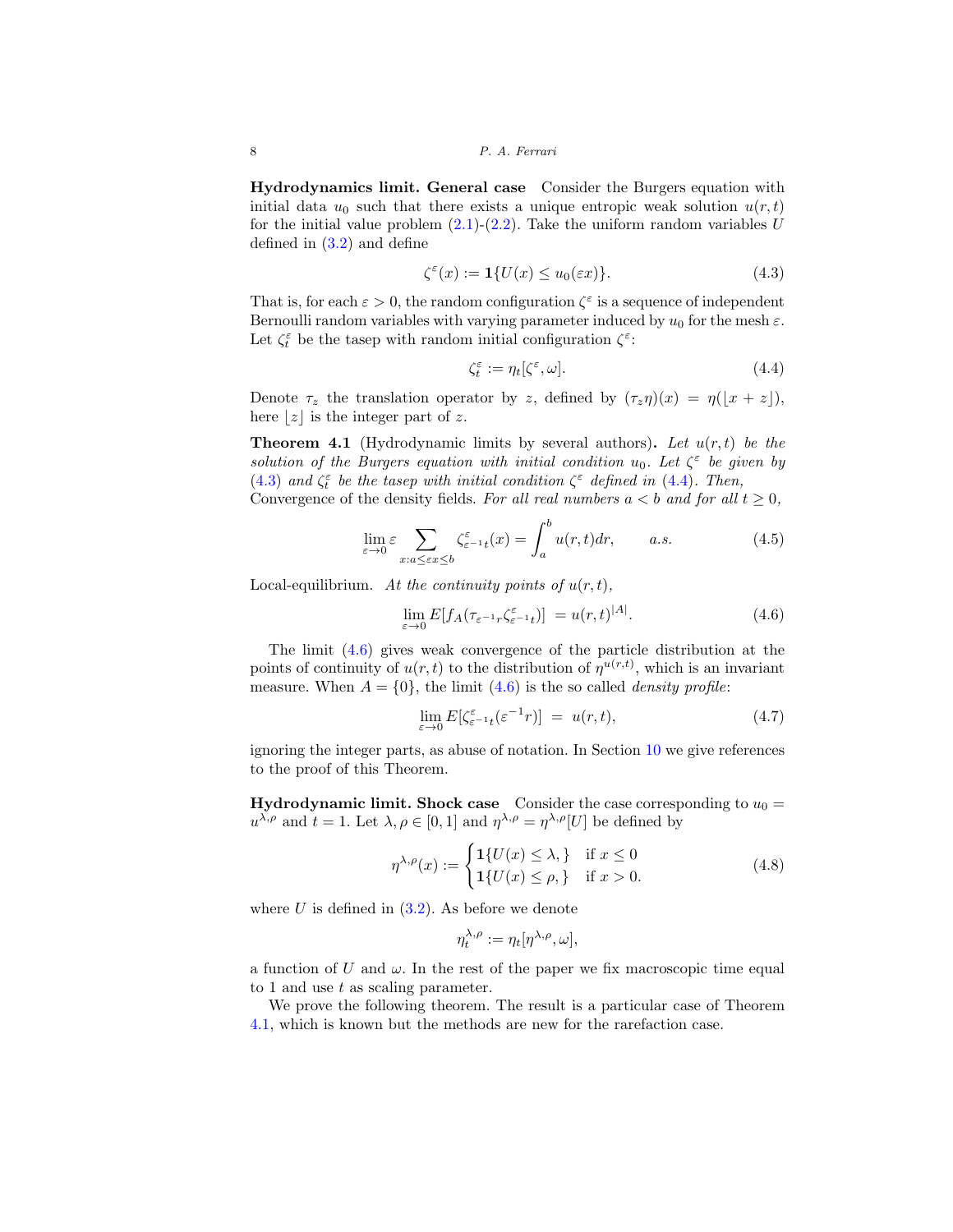**Hydrodynamics limit. General case** Consider the Burgers equation with initial data  $u_0$  such that there exists a unique entropic weak solution  $u(r, t)$ for the initial value problem  $(2.1)-(2.2)$  $(2.1)-(2.2)$  $(2.1)-(2.2)$ . Take the uniform random variables U defined in [\(3.2\)](#page-5-0) and define

$$
\zeta^{\varepsilon}(x) := \mathbf{1}\{U(x) \le u_0(\varepsilon x)\}.
$$
\n(4.3)

That is, for each  $\varepsilon > 0$ , the random configuration  $\zeta^{\varepsilon}$  is a sequence of independent Bernoulli random variables with varying parameter induced by  $u_0$  for the mesh  $\varepsilon$ . Let  $\zeta_t^{\varepsilon}$  be the tasep with random initial configuration  $\zeta^{\varepsilon}$ :

<span id="page-7-3"></span><span id="page-7-2"></span><span id="page-7-0"></span>
$$
\zeta_t^{\varepsilon} := \eta_t[\zeta^{\varepsilon}, \omega].\tag{4.4}
$$

Denote  $\tau_z$  the translation operator by z, defined by  $(\tau_z \eta)(x) = \eta(|x + z|)$ , here  $\lfloor z \rfloor$  is the integer part of z.

<span id="page-7-4"></span>**Theorem 4.1** (Hydrodynamic limits by several authors). Let  $u(r, t)$  be the solution of the Burgers equation with initial condition  $u_0$ . Let  $\zeta^{\varepsilon}$  be given by [\(4.3\)](#page-7-2) and  $\zeta_t^{\varepsilon}$  be the tasep with initial condition  $\zeta^{\varepsilon}$  defined in [\(4.4\)](#page-7-3). Then, Convergence of the density fields. For all real numbers  $a < b$  and for all  $t > 0$ ,

$$
\sum_{i=1}^{n} a_i
$$

$$
\lim_{\varepsilon \to 0} \varepsilon \sum_{x:a \le \varepsilon x \le b} \zeta_{\varepsilon^{-1}t}^{\varepsilon}(x) = \int_{a}^{b} u(r,t) dr, \qquad a.s. \tag{4.5}
$$

Local-equilibrium. At the continuity points of  $u(r, t)$ ,

<span id="page-7-1"></span>
$$
\lim_{\varepsilon \to 0} E[f_A(\tau_{\varepsilon^{-1}r} \zeta_{\varepsilon^{-1}t}^{\varepsilon})] = u(r,t)^{|A|}.
$$
\n(4.6)

The limit [\(4.6\)](#page-7-1) gives weak convergence of the particle distribution at the points of continuity of  $u(r, t)$  to the distribution of  $\eta^{u(r, t)}$ , which is an invariant measure. When  $A = \{0\}$ , the limit [\(4.6\)](#page-7-1) is the so called *density profile:* 

$$
\lim_{\varepsilon \to 0} E[\zeta_{\varepsilon^{-1}t}^{\varepsilon}(\varepsilon^{-1}r)] = u(r,t), \tag{4.7}
$$

ignoring the integer parts, as abuse of notation. In Section [10](#page-21-0) we give references to the proof of this Theorem.

**Hydrodynamic limit. Shock case** Consider the case corresponding to  $u_0 =$  $u^{\lambda,\rho}$  and  $t = 1$ . Let  $\lambda, \rho \in [0,1]$  and  $\eta^{\lambda,\rho} = \eta^{\lambda,\rho}[U]$  be defined by

$$
\eta^{\lambda,\rho}(x) := \begin{cases} \mathbf{1}\{U(x) \le \lambda, \} & \text{if } x \le 0 \\ \mathbf{1}\{U(x) \le \rho, \} & \text{if } x > 0. \end{cases}
$$
(4.8)

where  $U$  is defined in  $(3.2)$ . As before we denote

<span id="page-7-5"></span>
$$
\eta_t^{\lambda,\rho} := \eta_t[\eta^{\lambda,\rho},\omega],
$$

a function of U and  $\omega$ . In the rest of the paper we fix macroscopic time equal to 1 and use t as scaling parameter.

We prove the following theorem. The result is a particular case of Theorem [4.1,](#page-7-4) which is known but the methods are new for the rarefaction case.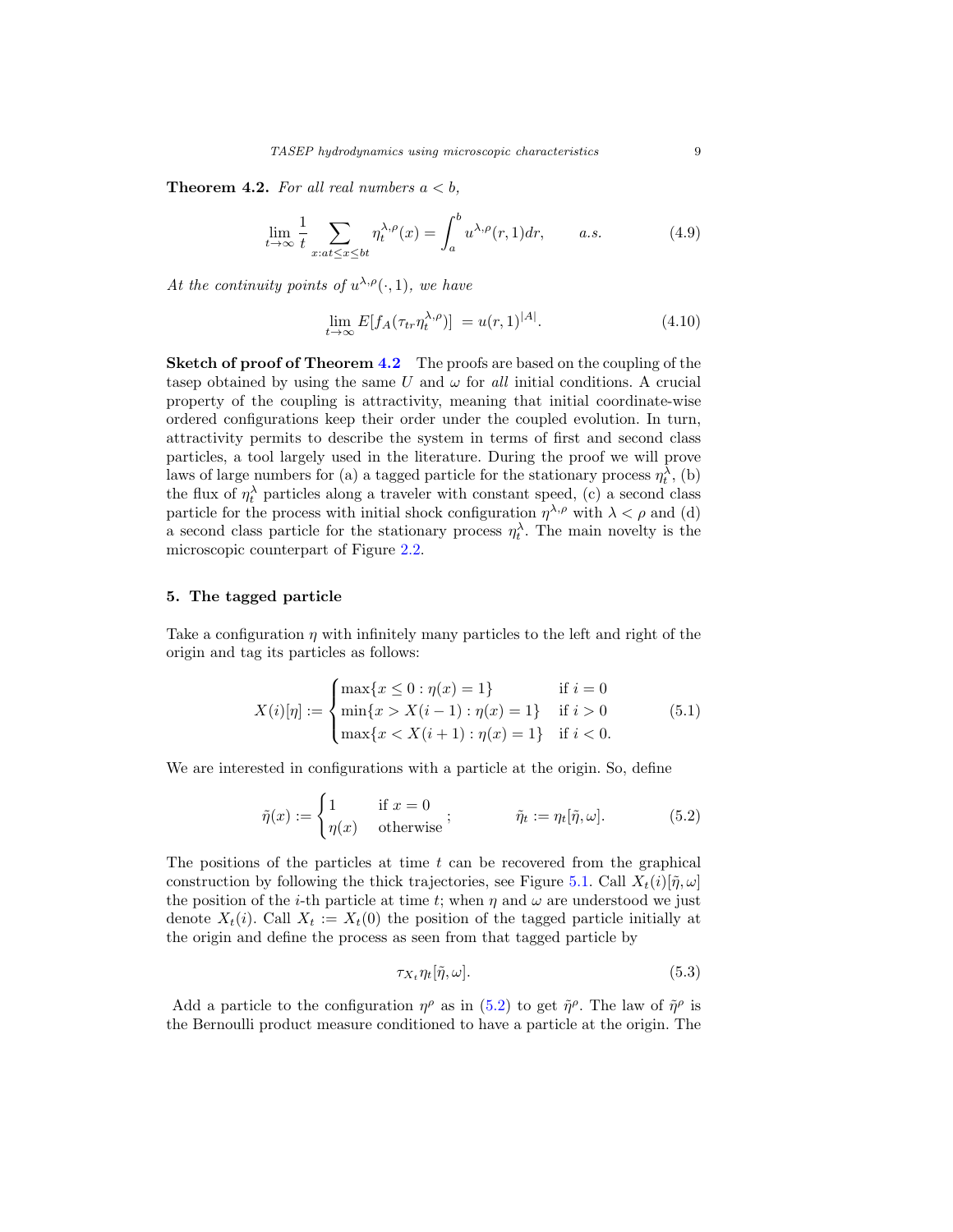<span id="page-8-1"></span>**Theorem 4.2.** For all real numbers  $a < b$ ,

$$
\lim_{t \to \infty} \frac{1}{t} \sum_{x:at \le x \le bt} \eta_t^{\lambda,\rho}(x) = \int_a^b u^{\lambda,\rho}(r,1) dr, \qquad a.s. \tag{4.9}
$$

At the continuity points of  $u^{\lambda,\rho}(\cdot,1)$ , we have

<span id="page-8-4"></span><span id="page-8-3"></span>
$$
\lim_{t \to \infty} E[f_A(\tau_{tr} \eta_t^{\lambda, \rho})] = u(r, 1)^{|A|}.
$$
\n(4.10)

**Sketch of proof of Theorem [4.2](#page-8-1)** The proofs are based on the coupling of the tasep obtained by using the same  $U$  and  $\omega$  for all initial conditions. A crucial property of the coupling is attractivity, meaning that initial coordinate-wise ordered configurations keep their order under the coupled evolution. In turn, attractivity permits to describe the system in terms of first and second class particles, a tool largely used in the literature. During the proof we will prove laws of large numbers for (a) a tagged particle for the stationary process  $\eta_t^{\lambda}$ , (b) the flux of  $\eta_t^{\lambda}$  particles along a traveler with constant speed, (c) a second class particle for the process with initial shock configuration  $\eta^{\lambda,\rho}$  with  $\lambda < \rho$  and (d) a second class particle for the stationary process  $\eta_t^{\lambda}$ . The main novelty is the microscopic counterpart of Figure [2.2.](#page-3-1)

## <span id="page-8-0"></span>**5. The tagged particle**

Take a configuration  $\eta$  with infinitely many particles to the left and right of the origin and tag its particles as follows:

$$
X(i)[\eta] := \begin{cases} \max\{x \le 0 : \eta(x) = 1\} & \text{if } i = 0\\ \min\{x > X(i-1) : \eta(x) = 1\} & \text{if } i > 0\\ \max\{x < X(i+1) : \eta(x) = 1\} & \text{if } i < 0. \end{cases}
$$
(5.1)

We are interested in configurations with a particle at the origin. So, define

$$
\tilde{\eta}(x) := \begin{cases}\n1 & \text{if } x = 0 \\
\eta(x) & \text{otherwise}\n\end{cases}; \qquad \tilde{\eta}_t := \eta_t[\tilde{\eta}, \omega].
$$
\n(5.2)

The positions of the particles at time  $t$  can be recovered from the graphical construction by following the thick trajectories, see Figure [5.1.](#page-3-2) Call  $X_t(i)[\tilde{\eta}, \omega]$ the position of the *i*-th particle at time t; when  $\eta$  and  $\omega$  are understood we just denote  $X_t(i)$ . Call  $X_t := X_t(0)$  the position of the tagged particle initially at the origin and define the process as seen from that tagged particle by

<span id="page-8-2"></span>
$$
\tau_{X_t} \eta_t[\tilde{\eta}, \omega]. \tag{5.3}
$$

Add a particle to the configuration  $\eta^{\rho}$  as in [\(5.2\)](#page-8-2) to get  $\tilde{\eta}^{\rho}$ . The law of  $\tilde{\eta}^{\rho}$  is the Bernoulli product measure conditioned to have a particle at the origin. The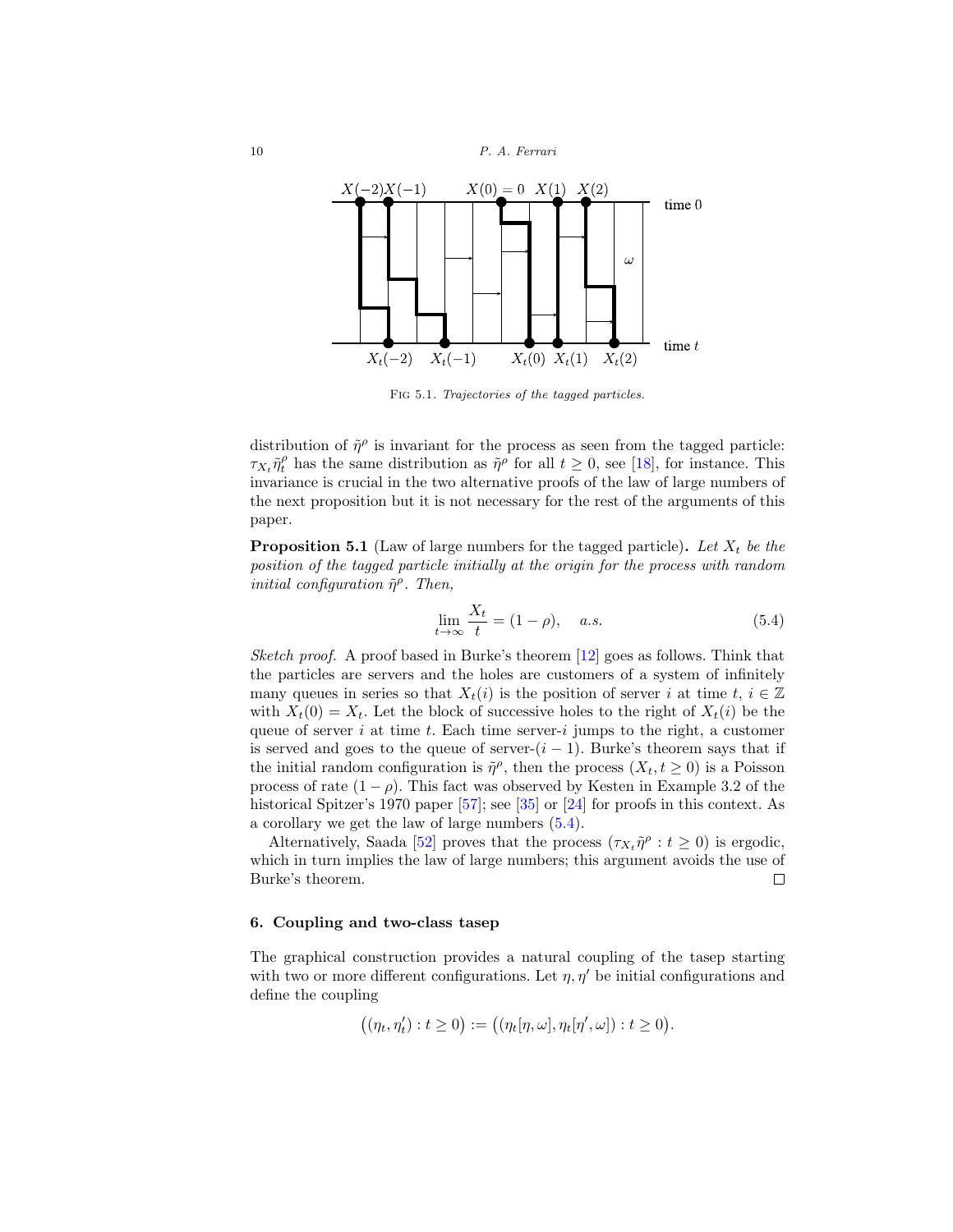

FIG 5.1. Trajectories of the tagged particles.

distribution of  $\tilde{\eta}^{\rho}$  is invariant for the process as seen from the tagged particle:  $\tau_{X_t} \tilde{\eta}_t^{\rho}$  has the same distribution as  $\tilde{\eta}^{\rho}$  for all  $t \geq 0$ , see [\[18](#page-24-1)], for instance. This invariance is crucial in the two alternative proofs of the law of large numbers of the next proposition but it is not necessary for the rest of the arguments of this paper.

<span id="page-9-2"></span>**Proposition 5.1** (Law of large numbers for the tagged particle). Let  $X_t$  be the position of the tagged particle initially at the origin for the process with random initial configuration  $\tilde{\eta}^{\rho}$ . Then,

<span id="page-9-1"></span>
$$
\lim_{t \to \infty} \frac{X_t}{t} = (1 - \rho), \quad a.s. \tag{5.4}
$$

Sketch proof. A proof based in Burke's theorem [\[12\]](#page-23-1) goes as follows. Think that the particles are servers and the holes are customers of a system of infinitely many queues in series so that  $X_t(i)$  is the position of server i at time  $t, i \in \mathbb{Z}$ with  $X_t(0) = X_t$ . Let the block of successive holes to the right of  $X_t(i)$  be the queue of server i at time t. Each time server-i jumps to the right, a customer is served and goes to the queue of server- $(i - 1)$ . Burke's theorem says that if the initial random configuration is  $\tilde{\eta}^{\rho}$ , then the process  $(X_t, t \geq 0)$  is a Poisson process of rate  $(1 - \rho)$ . This fact was observed by Kesten in Example 3.2 of the historical Spitzer's 1970 paper [\[57](#page-26-0)]; see [\[35](#page-24-2)] or [\[24](#page-24-3)] for proofs in this context. As a corollary we get the law of large numbers [\(5.4\)](#page-9-1).

Alternatively, Saada [\[52\]](#page-25-3) proves that the process  $(\tau_X, \tilde{\eta}^\rho : t \geq 0)$  is ergodic, which in turn implies the law of large numbers; this argument avoids the use of Burke's theorem.  $\Box$ 

## <span id="page-9-0"></span>**6. Coupling and two-class tasep**

The graphical construction provides a natural coupling of the tasep starting with two or more different configurations. Let  $\eta$ ,  $\eta'$  be initial configurations and define the coupling

$$
((\eta_t, \eta'_t) : t \ge 0) := ((\eta_t[\eta, \omega], \eta_t[\eta', \omega]) : t \ge 0).
$$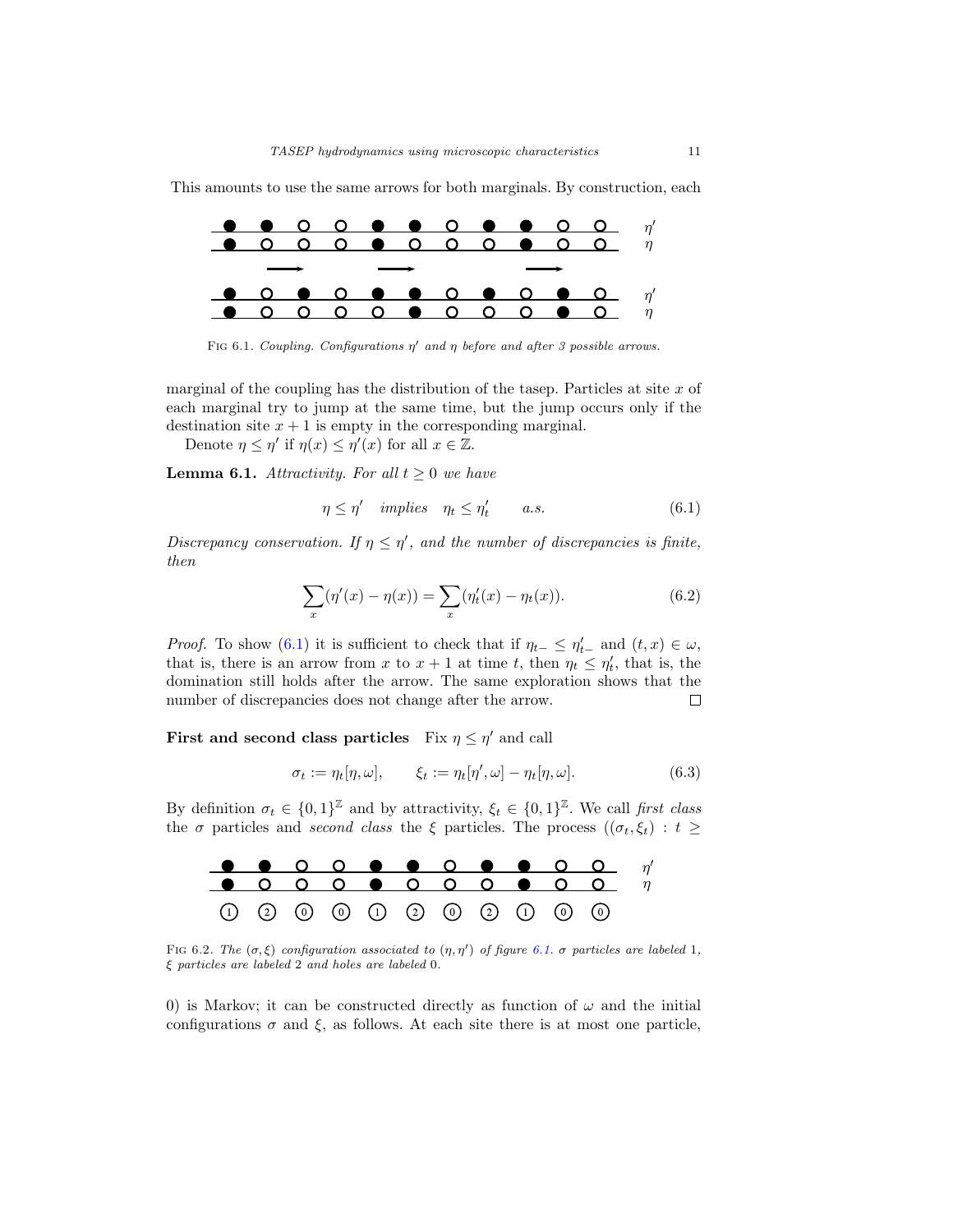This amounts to use the same arrows for both marginals. By construction, each



FIG 6.1. Coupling. Configurations  $\eta'$  and  $\eta$  before and after 3 possible arrows.

marginal of the coupling has the distribution of the tasep. Particles at site  $x$  of each marginal try to jump at the same time, but the jump occurs only if the destination site  $x + 1$  is empty in the corresponding marginal.

Denote  $\eta \leq \eta'$  if  $\eta(x) \leq \eta'(x)$  for all  $x \in \mathbb{Z}$ .

**Lemma 6.1.** Attractivity. For all  $t \geq 0$  we have

<span id="page-10-1"></span><span id="page-10-0"></span>
$$
\eta \le \eta' \quad implies \quad \eta_t \le \eta'_t \qquad a.s. \tag{6.1}
$$

Discrepancy conservation. If  $\eta \leq \eta'$ , and the number of discrepancies is finite, then

$$
\sum_{x} (\eta'(x) - \eta(x)) = \sum_{x} (\eta'_t(x) - \eta_t(x)).
$$
\n(6.2)

*Proof.* To show [\(6.1\)](#page-10-0) it is sufficient to check that if  $\eta_{t-} \leq \eta'_{t-}$  and  $(t, x) \in \omega$ , that is, there is an arrow from x to  $x + 1$  at time t, then  $\eta_t \leq \eta'_t$ , that is, the domination still holds after the arrow. The same exploration shows that the number of discrepancies does not change after the arrow.  $\Box$ 

**First and second class particles** Fix  $\eta \leq \eta'$  and call

$$
\sigma_t := \eta_t[\eta, \omega], \qquad \xi_t := \eta_t[\eta', \omega] - \eta_t[\eta, \omega]. \tag{6.3}
$$

By definition  $\sigma_t \in \{0,1\}^{\mathbb{Z}}$  and by attractivity,  $\xi_t \in \{0,1\}^{\mathbb{Z}}$ . We call first class the  $\sigma$  particles and second class the  $\xi$  particles. The process  $((\sigma_t, \xi_t) : t \geq$ 



FIG 6.2. The  $(\sigma, \xi)$  configuration associated to  $(\eta, \eta')$  of figure [6.1.](#page-3-2)  $\sigma$  particles are labeled 1, ξ particles are labeled 2 and holes are labeled 0.

0) is Markov; it can be constructed directly as function of  $\omega$  and the initial configurations  $\sigma$  and  $\xi$ , as follows. At each site there is at most one particle,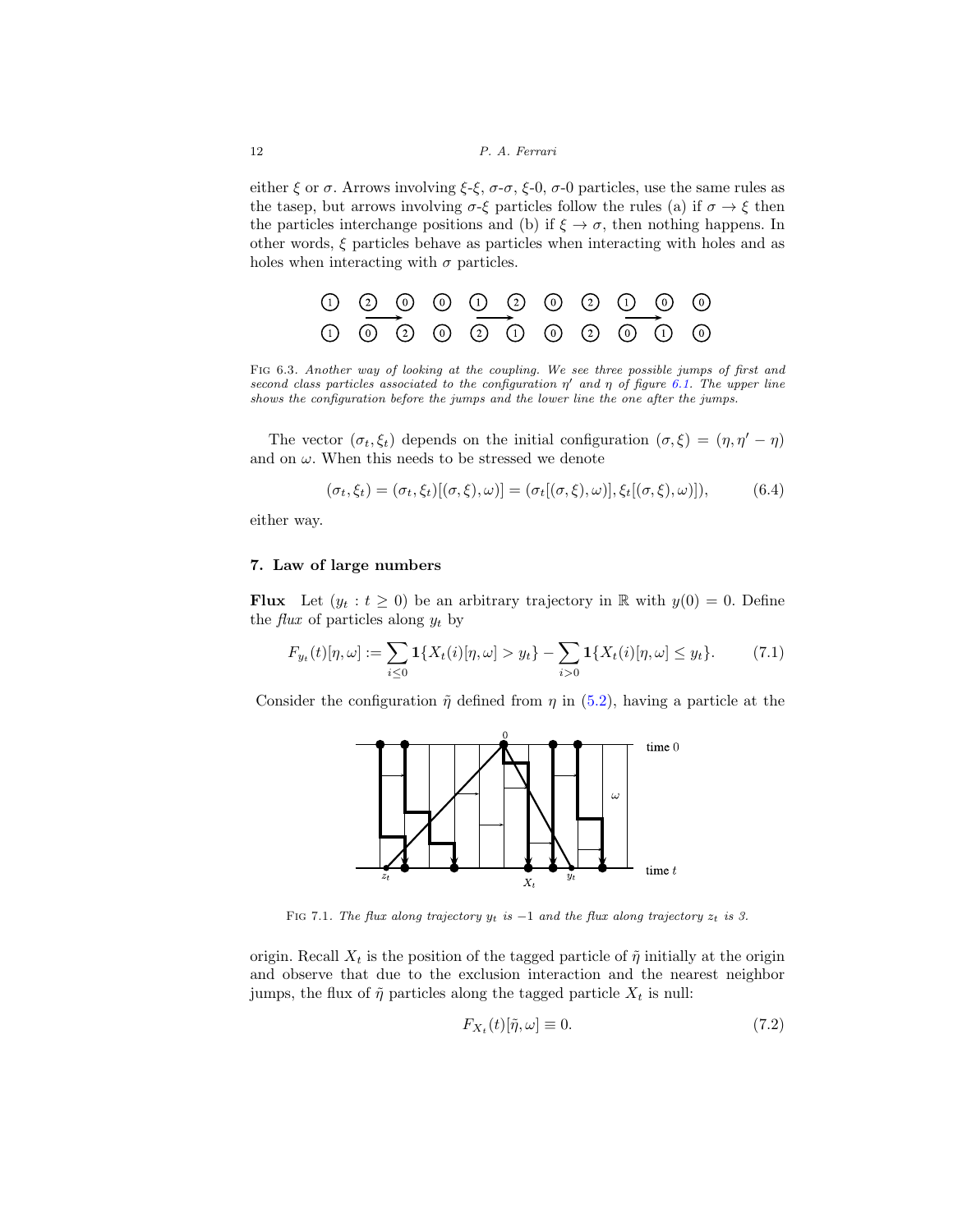either  $\xi$  or  $\sigma$ . Arrows involving  $\xi-\xi$ ,  $\sigma-\sigma$ ,  $\xi$ -0,  $\sigma$ -0 particles, use the same rules as the tasep, but arrows involving  $\sigma$ -ξ particles follow the rules (a) if  $\sigma \to \xi$  then the particles interchange positions and (b) if  $\xi \to \sigma$ , then nothing happens. In other words, ξ particles behave as particles when interacting with holes and as holes when interacting with  $\sigma$  particles.

$$
\begin{array}{c}\n0 & 0 & 0 & 0 & 0 & 0 & 0 & 0 & 0 \\
0 & 0 & 0 & 0 & 0 & 0 & 0 & 0 & 0 \\
0 & 0 & 0 & 0 & 0 & 0 & 0 & 0 & 0\n\end{array}
$$

Fig 6.3. Another way of looking at the coupling. We see three possible jumps of first and second class particles associated to the configuration  $\eta'$  and  $\eta$  of figure [6.1.](#page-3-2) The upper line shows the configuration before the jumps and the lower line the one after the jumps.

The vector  $(\sigma_t, \xi_t)$  depends on the initial configuration  $(\sigma, \xi)=(\eta, \eta' - \eta)$ and on  $\omega$ . When this needs to be stressed we denote

$$
(\sigma_t, \xi_t) = (\sigma_t, \xi_t)[(\sigma, \xi), \omega)] = (\sigma_t[(\sigma, \xi), \omega)], \xi_t[(\sigma, \xi), \omega)]
$$
\n(6.4)

either way.

#### <span id="page-11-0"></span>**7. Law of large numbers**

**Flux** Let  $(y_t : t \geq 0)$  be an arbitrary trajectory in R with  $y(0) = 0$ . Define the *flux* of particles along  $y_t$  by

$$
F_{y_t}(t)[\eta,\omega] := \sum_{i\leq 0} \mathbf{1}\{X_t(i)[\eta,\omega] > y_t\} - \sum_{i>0} \mathbf{1}\{X_t(i)[\eta,\omega] \leq y_t\}.
$$
 (7.1)

Consider the configuration  $\tilde{\eta}$  defined from  $\eta$  in [\(5.2\)](#page-8-2), having a particle at the



FIG 7.1. The flux along trajectory  $y_t$  is  $-1$  and the flux along trajectory  $z_t$  is 3.

origin. Recall  $X_t$  is the position of the tagged particle of  $\tilde{\eta}$  initially at the origin and observe that due to the exclusion interaction and the nearest neighbor jumps, the flux of  $\tilde{\eta}$  particles along the tagged particle  $X_t$  is null:

$$
F_{X_t}(t)[\tilde{\eta}, \omega] \equiv 0. \tag{7.2}
$$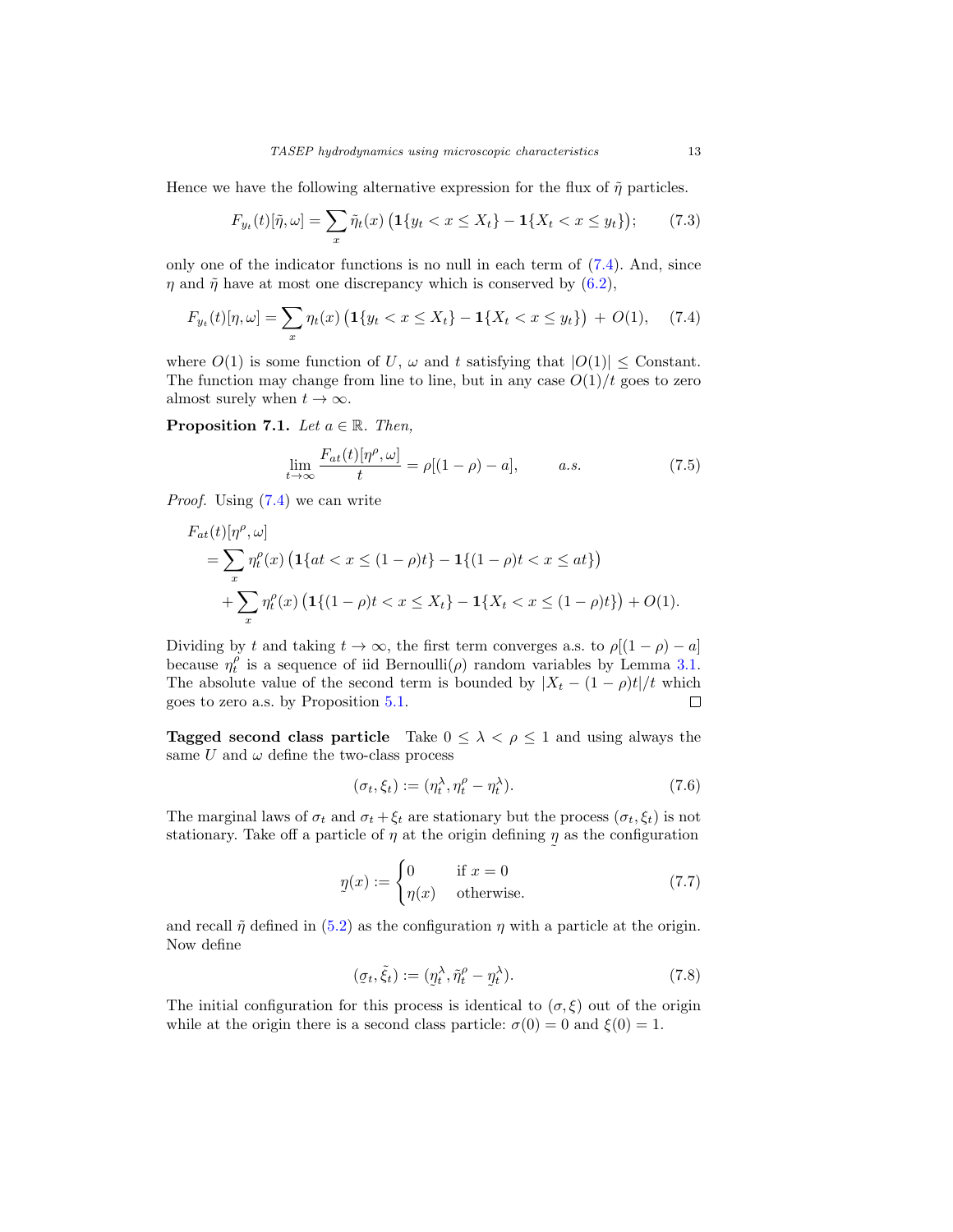Hence we have the following alternative expression for the flux of  $\tilde{\eta}$  particles.

$$
F_{y_t}(t)[\tilde{\eta}, \omega] = \sum_x \tilde{\eta}_t(x) \left( \mathbf{1}\{y_t < x \le X_t\} - \mathbf{1}\{X_t < x \le y_t\} \right); \tag{7.3}
$$

only one of the indicator functions is no null in each term of [\(7.4\)](#page-12-0). And, since  $\eta$  and  $\tilde{\eta}$  have at most one discrepancy which is conserved by [\(6.2\)](#page-10-1),

$$
F_{y_t}(t)[\eta,\omega] = \sum_x \eta_t(x) \left( \mathbf{1}\{y_t < x \le X_t\} - \mathbf{1}\{X_t < x \le y_t\} \right) + O(1), \quad (7.4)
$$

where  $O(1)$  is some function of U,  $\omega$  and t satisfying that  $|O(1)| \leq$  Constant. The function may change from line to line, but in any case  $O(1)/t$  goes to zero almost surely when  $t \to \infty$ .

**Proposition 7.1.** Let  $a \in \mathbb{R}$ . Then,

<span id="page-12-2"></span><span id="page-12-0"></span>
$$
\lim_{t \to \infty} \frac{F_{at}(t)[\eta^{\rho}, \omega]}{t} = \rho[(1-\rho) - a], \qquad a.s.
$$
\n(7.5)

Proof. Using [\(7.4\)](#page-12-0) we can write

$$
F_{at}(t)[\eta^{\rho}, \omega]
$$
  
=  $\sum_{x} \eta_t^{\rho}(x) \left( \mathbf{1} \{ at < x \le (1 - \rho)t \} - \mathbf{1} \{ (1 - \rho)t < x \le at \} \right)$   
+  $\sum_{x} \eta_t^{\rho}(x) \left( \mathbf{1} \{ (1 - \rho)t < x \le X_t \} - \mathbf{1} \{ X_t < x \le (1 - \rho)t \} \right) + O(1).$ 

Dividing by t and taking  $t \to \infty$ , the first term converges a.s. to  $\rho[(1-\rho)-a]$ because  $\eta_t^{\rho}$  is a sequence of iid Bernoulli $(\rho)$  random variables by Lemma [3.1.](#page-6-3) The absolute value of the second term is bounded by  $|X_t - (1 - \rho)t|/t$  which goes to zero a.s. by Proposition [5.1.](#page-9-2)  $\Box$ 

**Tagged second class particle** Take  $0 \leq \lambda < \rho \leq 1$  and using always the same U and  $\omega$  define the two-class process

<span id="page-12-3"></span>
$$
(\sigma_t, \xi_t) := (\eta_t^{\lambda}, \eta_t^{\rho} - \eta_t^{\lambda}).
$$
\n(7.6)

The marginal laws of  $\sigma_t$  and  $\sigma_t + \xi_t$  are stationary but the process  $(\sigma_t, \xi_t)$  is not stationary. Take off a particle of  $\eta$  at the origin defining  $\eta$  as the configuration

$$
\eta(x) := \begin{cases} 0 & \text{if } x = 0 \\ \eta(x) & \text{otherwise.} \end{cases}
$$
\n(7.7)

and recall  $\tilde{\eta}$  defined in [\(5.2\)](#page-8-2) as the configuration  $\eta$  with a particle at the origin. Now define

<span id="page-12-1"></span>
$$
(\sigma_t, \tilde{\xi}_t) := (\eta_t^{\lambda}, \tilde{\eta}_t^{\rho} - \eta_t^{\lambda}).
$$
\n(7.8)

The initial configuration for this process is identical to  $(\sigma, \xi)$  out of the origin while at the origin there is a second class particle:  $\sigma(0) = 0$  and  $\xi(0) = 1$ .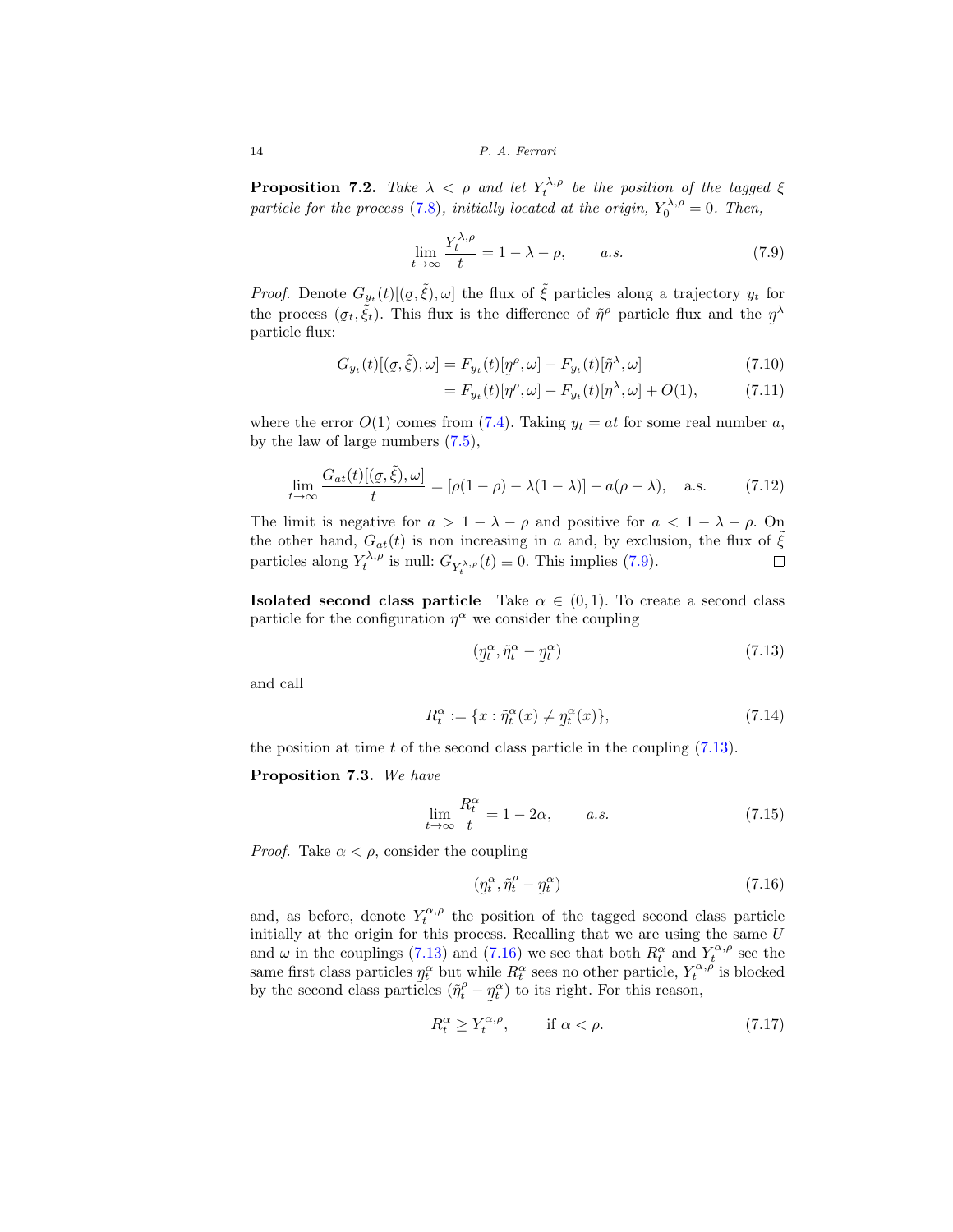14 P. A. Ferrari

**Proposition 7.2.** Take  $\lambda < \rho$  and let  $Y_t^{\lambda,\rho}$  be the position of the tagged  $\xi$ particle for the process [\(7.8\)](#page-12-1), initially located at the origin,  $Y_0^{\lambda,\rho} = 0$ . Then,

$$
\lim_{t \to \infty} \frac{Y_t^{\lambda, \rho}}{t} = 1 - \lambda - \rho, \qquad a.s. \tag{7.9}
$$

*Proof.* Denote  $G_{y_t}(t)[(g, \tilde{\xi}), \omega]$  the flux of  $\tilde{\xi}$  particles along a trajectory  $y_t$  for the process  $(g, \tilde{\xi})$ . This flux is the difference of  $\tilde{\theta}^{\rho}$  particle flux and the  $\tilde{\theta}^{\lambda}$ the process  $(g_t, \tilde{\xi}_t)$ . This flux is the difference of  $\tilde{\eta}^{\rho}$  particle flux and the  $\eta^{\lambda}$  particle flux: particle flux:

$$
G_{y_t}(t)[(q,\tilde{\xi}),\omega] = F_{y_t}(t)[\eta^{\rho},\omega] - F_{y_t}(t)[\tilde{\eta}^{\lambda},\omega]
$$
\n(7.10)

<span id="page-13-0"></span>
$$
= F_{y_t}(t)[\eta^{\rho}, \omega] - F_{y_t}(t)[\eta^{\lambda}, \omega] + O(1), \tag{7.11}
$$

where the error  $O(1)$  comes from [\(7.4\)](#page-12-0). Taking  $y_t = at$  for some real number a, by the law of large numbers [\(7.5\)](#page-12-2),

$$
\lim_{t \to \infty} \frac{G_{at}(t)[(\varrho, \tilde{\xi}), \omega]}{t} = [\rho(1 - \rho) - \lambda(1 - \lambda)] - a(\rho - \lambda), \quad \text{a.s.}
$$
 (7.12)

The limit is negative for  $a > 1 - \lambda - \rho$  and positive for  $a < 1 - \lambda - \rho$ . On the other hand,  $G_{at}(t)$  is non increasing in a and, by exclusion, the flux of  $\tilde{\xi}$ particles along  $Y_t^{\lambda,\rho}$  is null:  $G_{Y_t^{\lambda,\rho}}(t) \equiv 0$ . This implies [\(7.9\)](#page-13-0).  $\Box$ 

**Isolated second class particle** Take  $\alpha \in (0,1)$ . To create a second class particle for the configuration  $\eta^{\alpha}$  we consider the coupling

<span id="page-13-4"></span><span id="page-13-1"></span>
$$
(\eta_t^{\alpha}, \tilde{\eta}_t^{\alpha} - \eta_t^{\alpha}) \tag{7.13}
$$

and call

$$
R_t^{\alpha} := \{ x : \tilde{\eta}_t^{\alpha}(x) \neq \underline{\eta}_t^{\alpha}(x) \},\tag{7.14}
$$

the position at time  $t$  of the second class particle in the coupling  $(7.13)$ .

<span id="page-13-3"></span>**Proposition 7.3.** We have

$$
\lim_{t \to \infty} \frac{R_t^{\alpha}}{t} = 1 - 2\alpha, \qquad a.s.
$$
\n(7.15)

*Proof.* Take  $\alpha < \rho$ , consider the coupling

<span id="page-13-2"></span>
$$
(\eta_t^{\alpha}, \tilde{\eta}_t^{\rho} - \eta_t^{\alpha}) \tag{7.16}
$$

and, as before, denote  $Y_t^{\alpha,\rho}$  the position of the tagged second class particle initially at the origin for this process. Recalling that we are using the same U and  $\omega$  in the couplings [\(7.13\)](#page-13-1) and [\(7.16\)](#page-13-2) we see that both  $R_t^{\alpha}$  and  $Y_t^{\alpha,\rho}$  see the same first class particles  $\eta_t^{\alpha}$  but while  $R_t^{\alpha}$  sees no other particle,  $Y_t^{\alpha,\beta}$  is blocked<br>by the second class particles  $(\tilde{n}_t^{\beta} - n_t^{\alpha})$  to its right. For this reason. by the second class particles  $(\tilde{\eta}_t^{\rho} - \eta)$  $\eta_t^{\alpha}$  to its right. For this reason,

$$
R_t^{\alpha} \ge Y_t^{\alpha,\rho}, \qquad \text{if } \alpha < \rho. \tag{7.17}
$$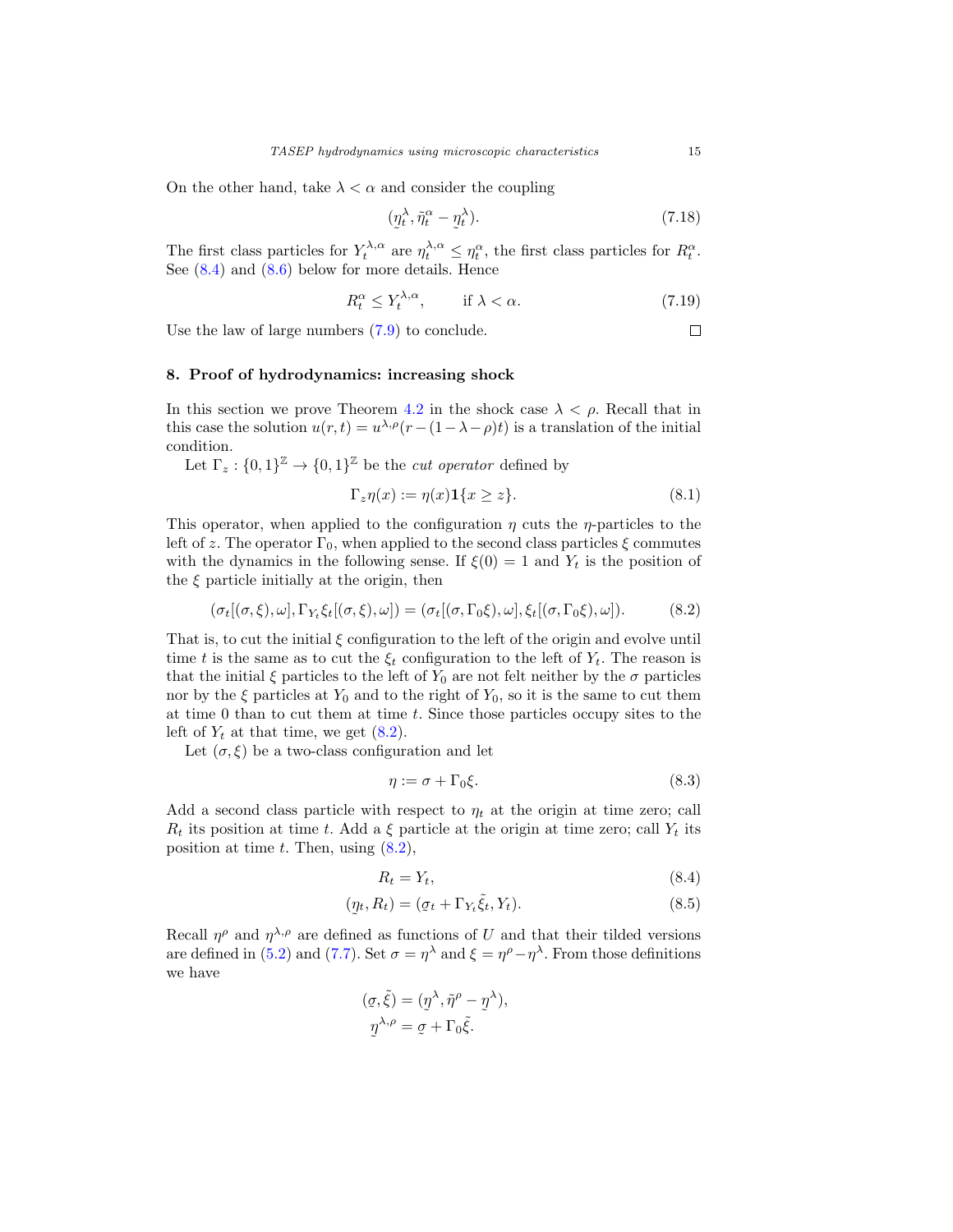On the other hand, take  $\lambda < \alpha$  and consider the coupling

$$
(\eta_t^{\lambda}, \tilde{\eta}_t^{\alpha} - \eta_t^{\lambda}). \tag{7.18}
$$

The first class particles for  $Y_t^{\lambda,\alpha}$  are  $\eta_t^{\lambda,\alpha} \leq \eta_t^{\alpha}$ , the first class particles for  $R_t^{\alpha}$ . See [\(8.4\)](#page-14-1) and [\(8.6\)](#page-15-0) below for more details. Hence

$$
R_t^{\alpha} \le Y_t^{\lambda, \alpha}, \qquad \text{if } \lambda < \alpha. \tag{7.19}
$$

Use the law of large numbers [\(7.9\)](#page-13-0) to conclude.

#### <span id="page-14-0"></span>**8. Proof of hydrodynamics: increasing shock**

In this section we prove Theorem [4.2](#page-8-1) in the shock case  $\lambda < \rho$ . Recall that in this case the solution  $u(r, t) = u^{\lambda, \rho}(r - (1 - \lambda - \rho)t)$  is a translation of the initial condition.

Let  $\Gamma_z: \{0,1\}^{\mathbb{Z}} \to \{0,1\}^{\mathbb{Z}}$  be the *cut operator* defined by

$$
\Gamma_z \eta(x) := \eta(x) \mathbf{1}\{x \ge z\}.
$$
\n(8.1)

This operator, when applied to the configuration  $\eta$  cuts the  $\eta$ -particles to the left of z. The operator  $\Gamma_0$ , when applied to the second class particles  $\xi$  commutes with the dynamics in the following sense. If  $\xi(0) = 1$  and  $Y_t$  is the position of the  $\xi$  particle initially at the origin, then

$$
(\sigma_t[(\sigma,\xi),\omega],\Gamma_{Y_t}\xi_t[(\sigma,\xi),\omega])=(\sigma_t[(\sigma,\Gamma_0\xi),\omega],\xi_t[(\sigma,\Gamma_0\xi),\omega]).
$$
 (8.2)

That is, to cut the initial  $\xi$  configuration to the left of the origin and evolve until time t is the same as to cut the  $\xi_t$  configuration to the left of  $Y_t$ . The reason is that the initial  $\xi$  particles to the left of  $Y_0$  are not felt neither by the  $\sigma$  particles nor by the  $\xi$  particles at  $Y_0$  and to the right of  $Y_0$ , so it is the same to cut them at time 0 than to cut them at time t. Since those particles occupy sites to the left of  $Y_t$  at that time, we get  $(8.2)$ .

Let  $(\sigma, \xi)$  be a two-class configuration and let

$$
\eta := \sigma + \Gamma_0 \xi. \tag{8.3}
$$

Add a second class particle with respect to  $\eta_t$  at the origin at time zero; call  $R_t$  its position at time t. Add a  $\xi$  particle at the origin at time zero; call  $Y_t$  its position at time  $t$ . Then, using  $(8.2)$ ,

<span id="page-14-3"></span><span id="page-14-1"></span>
$$
R_t = Y_t,\tag{8.4}
$$

$$
(\underline{\eta}_t, R_t) = (\underline{\sigma}_t + \Gamma_{Y_t} \tilde{\xi}_t, Y_t). \tag{8.5}
$$

Recall  $\eta^{\rho}$  and  $\eta^{\lambda,\rho}$  are defined as functions of U and that their tilded versions are defined in [\(5.2\)](#page-8-2) and [\(7.7\)](#page-12-3). Set  $\sigma = \eta^{\lambda}$  and  $\xi = \eta^{\rho} - \eta^{\lambda}$ . From those definitions we have

$$
(\sigma, \tilde{\xi}) = (\eta^{\lambda}, \tilde{\eta}^{\rho} - \eta^{\lambda}),
$$
  

$$
\eta^{\lambda, \rho} = \sigma + \Gamma_0 \tilde{\xi}.
$$

<span id="page-14-2"></span> $\Box$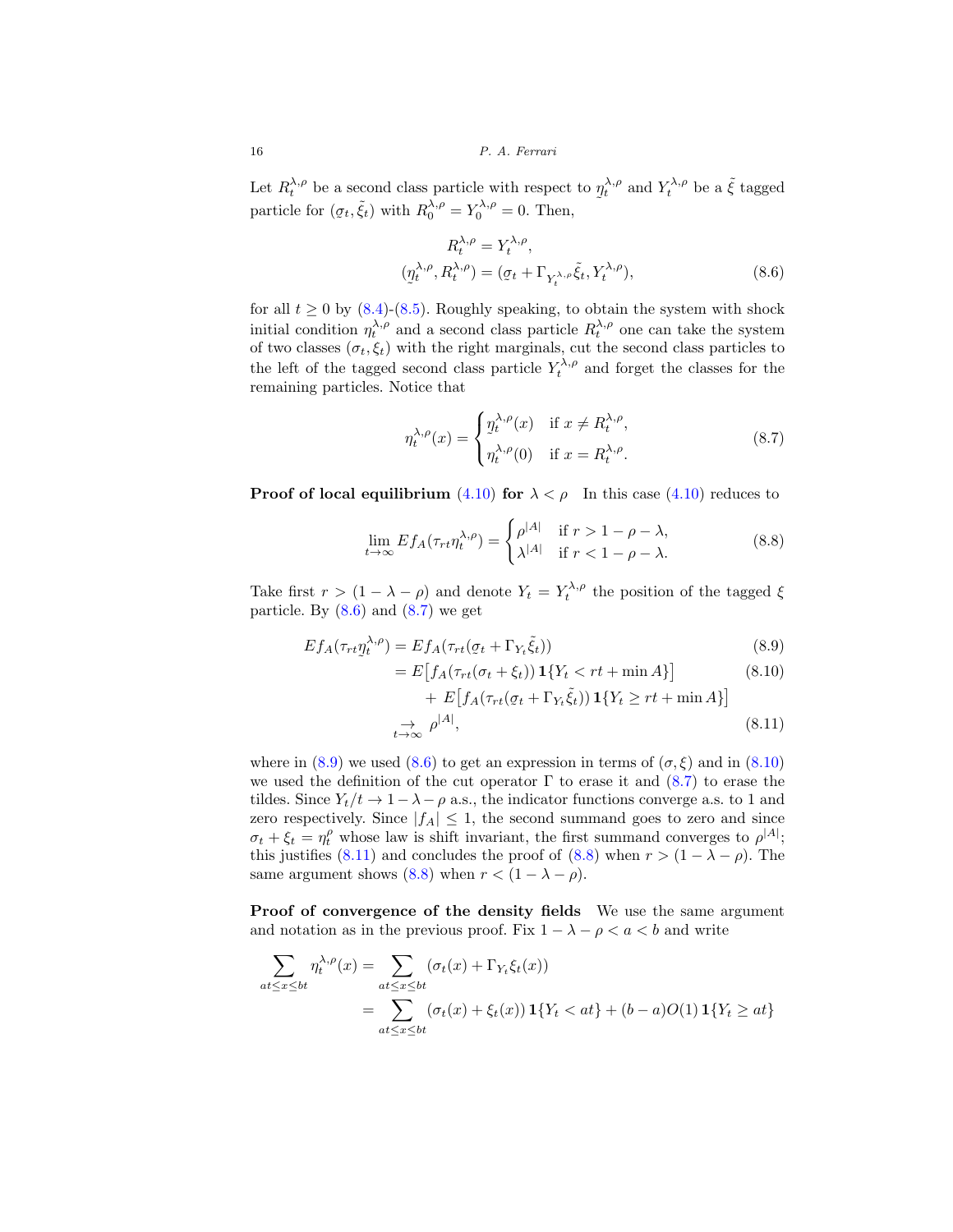16 P. A. Ferrari

Let  $R_t^{\lambda,\rho}$  be a second class particle with respect to  $\eta_t^{\lambda,\rho}$  and  $Y_t^{\lambda,\rho}$  be a  $\tilde{\xi}$  tagged particle for  $(\sigma, \tilde{\xi})$  with  $R^{\lambda,\rho} - V^{\lambda,\rho} = 0$ . Then particle for  $(g_t, \tilde{\xi}_t)$  with  $R_0^{\lambda,\rho} = Y_0^{\lambda,\rho} = 0$ . Then,

<span id="page-15-0"></span>
$$
R_t^{\lambda,\rho} = Y_t^{\lambda,\rho},
$$
  
\n
$$
(p_t^{\lambda,\rho}, R_t^{\lambda,\rho}) = (\sigma_t + \Gamma_{Y_t^{\lambda,\rho}} \tilde{\xi}_t, Y_t^{\lambda,\rho}),
$$
\n(8.6)

for all  $t \geq 0$  by  $(8.4)-(8.5)$  $(8.4)-(8.5)$  $(8.4)-(8.5)$ . Roughly speaking, to obtain the system with shock initial condition  $\eta_t^{\lambda,\rho}$  and a second class particle  $R_t^{\lambda,\rho}$  one can take the system of two classes  $(\sigma_t, \xi_t)$  with the right marginals, cut the second class particles to the left of the tagged second class particle  $Y_t^{\lambda,\rho}$  and forget the classes for the remaining particles. Notice that

<span id="page-15-5"></span><span id="page-15-1"></span>
$$
\eta_t^{\lambda,\rho}(x) = \begin{cases} \eta_t^{\lambda,\rho}(x) & \text{if } x \neq R_t^{\lambda,\rho}, \\ \eta_t^{\lambda,\rho}(0) & \text{if } x = R_t^{\lambda,\rho}. \end{cases}
$$
\n(8.7)

**Proof of local equilibrium** [\(4.10\)](#page-8-3) **for**  $\lambda < \rho$  In this case (4.10) reduces to

$$
\lim_{t \to \infty} E f_A(\tau_{rt} \eta_t^{\lambda, \rho}) = \begin{cases} \rho^{|A|} & \text{if } r > 1 - \rho - \lambda, \\ \lambda^{|A|} & \text{if } r < 1 - \rho - \lambda. \end{cases} \tag{8.8}
$$

Take first  $r > (1 - \lambda - \rho)$  and denote  $Y_t = Y_t^{\lambda, \rho}$  the position of the tagged  $\xi$ particle. By  $(8.6)$  and  $(8.7)$  we get

$$
Ef_A(\tau_{rt}\underline{\eta}_t^{\lambda,\rho}) = Ef_A(\tau_{rt}(\underline{\sigma}_t + \Gamma_{Y_t}\tilde{\xi}_t))
$$
\n(8.9)

<span id="page-15-4"></span><span id="page-15-3"></span><span id="page-15-2"></span>
$$
= E\left[f_A(\tau_{rt}(\sigma_t + \xi_t))\mathbf{1}\{Y_t < rt + \min A\}\right]
$$
(8.10)  
+ 
$$
E\left[f_A(\tau_{rt}(\sigma_t + \Gamma_{Y_t}\tilde{\xi}_t))\mathbf{1}\{Y_t \ge rt + \min A\}\right]
$$
  

$$
\to \rho^{|A|},
$$
(8.11)

where in  $(8.9)$  we used  $(8.6)$  to get an expression in terms of  $(\sigma, \xi)$  and in  $(8.10)$ we used the definition of the cut operator  $\Gamma$  to erase it and  $(8.7)$  to erase the tildes. Since  $Y_t/t \to 1-\lambda-\rho$  a.s., the indicator functions converge a.s. to 1 and zero respectively. Since  $|f_A| \leq 1$ , the second summand goes to zero and since  $\sigma_t + \xi_t = \eta_t^{\rho}$  whose law is shift invariant, the first summand converges to  $\rho^{|A|}$ ; this justifies [\(8.11\)](#page-15-4) and concludes the proof of [\(8.8\)](#page-15-5) when  $r > (1 - \lambda - \rho)$ . The same argument shows [\(8.8\)](#page-15-5) when  $r < (1 - \lambda - \rho)$ .

**Proof of convergence of the density fields** We use the same argument and notation as in the previous proof. Fix  $1 - \lambda - \rho < a < b$  and write

$$
\sum_{at \le x \le bt} \eta_t^{\lambda,\rho}(x) = \sum_{at \le x \le bt} (\sigma_t(x) + \Gamma_{Y_t} \xi_t(x))
$$
  
= 
$$
\sum_{at \le x \le bt} (\sigma_t(x) + \xi_t(x)) \mathbf{1}\{Y_t < at\} + (b-a)O(1) \mathbf{1}\{Y_t \ge at\}
$$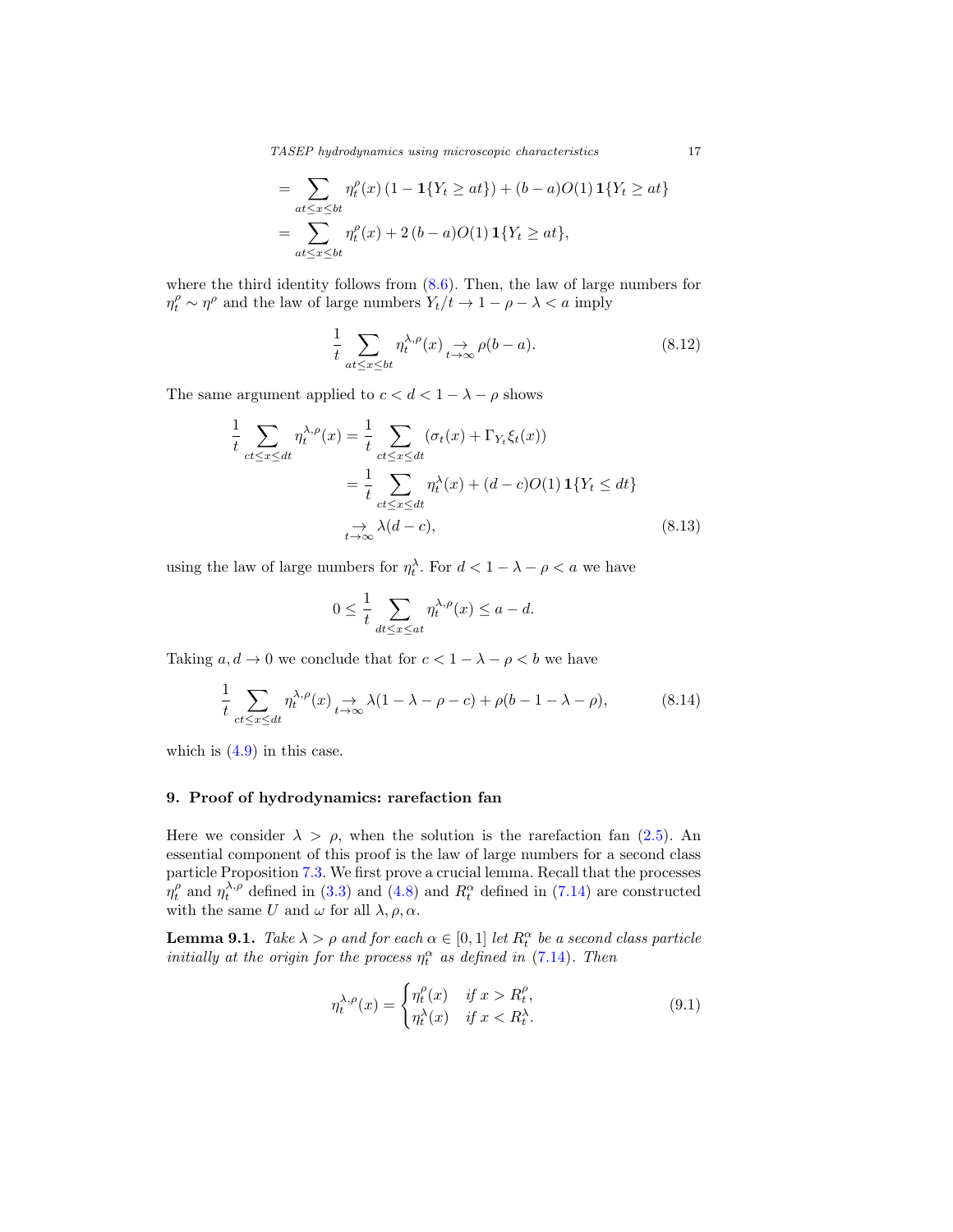TASEP hydrodynamics using microscopic characteristics 17

$$
= \sum_{\substack{at \le x \le bt}} \eta_t^{\rho}(x) (1 - \mathbf{1}\{Y_t \ge at\}) + (b - a)O(1)\mathbf{1}\{Y_t \ge at\}
$$

$$
= \sum_{\substack{at \le x \le bt}} \eta_t^{\rho}(x) + 2(b - a)O(1)\mathbf{1}\{Y_t \ge at\},
$$

where the third identity follows from  $(8.6)$ . Then, the law of large numbers for  $\eta_t^{\rho} \sim \eta^{\rho}$  and the law of large numbers  $Y_t/t \to 1 - \rho - \lambda < a$  imply

$$
\frac{1}{t} \sum_{at \le x \le bt} \eta_t^{\lambda, \rho}(x) \underset{t \to \infty}{\to} \rho(b-a). \tag{8.12}
$$

The same argument applied to  $c < d < 1 - \lambda - \rho$  shows

$$
\frac{1}{t} \sum_{ct \le x \le dt} \eta_t^{\lambda, \rho}(x) = \frac{1}{t} \sum_{ct \le x \le dt} (\sigma_t(x) + \Gamma_{Y_t} \xi_t(x))
$$
\n
$$
= \frac{1}{t} \sum_{ct \le x \le dt} \eta_t^{\lambda}(x) + (d - c)O(1) \mathbf{1} \{ Y_t \le dt \}
$$
\n
$$
\underset{t \to \infty}{\to} \lambda(d - c), \tag{8.13}
$$

using the law of large numbers for  $\eta_t^{\lambda}$ . For  $d < 1 - \lambda - \rho < a$  we have

$$
0 \le \frac{1}{t} \sum_{dt \le x \le at} \eta_t^{\lambda, \rho}(x) \le a - d.
$$

Taking  $a, d \to 0$  we conclude that for  $c < 1 - \lambda - \rho < b$  we have

$$
\frac{1}{t} \sum_{ct \le x \le dt} \eta_t^{\lambda,\rho}(x) \underset{t \to \infty}{\to} \lambda(1 - \lambda - \rho - c) + \rho(b - 1 - \lambda - \rho),
$$
\n(8.14)

which is  $(4.9)$  in this case.

## <span id="page-16-0"></span>**9. Proof of hydrodynamics: rarefaction fan**

Here we consider  $\lambda > \rho$ , when the solution is the rarefaction fan [\(2.5\)](#page-3-0). An essential component of this proof is the law of large numbers for a second class particle Proposition [7.3.](#page-13-3) We first prove a crucial lemma. Recall that the processes  $\eta_t^{\rho}$  and  $\eta_t^{\lambda,\rho}$  defined in [\(3.3\)](#page-5-1) and [\(4.8\)](#page-7-5) and  $R_t^{\alpha}$  defined in [\(7.14\)](#page-13-4) are constructed with the same U and  $\omega$  for all  $\lambda, \rho, \alpha$ .

<span id="page-16-1"></span>**Lemma 9.1.** Take  $\lambda > \rho$  and for each  $\alpha \in [0,1]$  let  $R_t^{\alpha}$  be a second class particle initially at the origin for the process  $\eta_t^{\alpha}$  as defined in [\(7.14\)](#page-13-4). Then

<span id="page-16-2"></span>
$$
\eta_t^{\lambda,\rho}(x) = \begin{cases} \eta_t^{\rho}(x) & \text{if } x > R_t^{\rho}, \\ \eta_t^{\lambda}(x) & \text{if } x < R_t^{\lambda}. \end{cases} \tag{9.1}
$$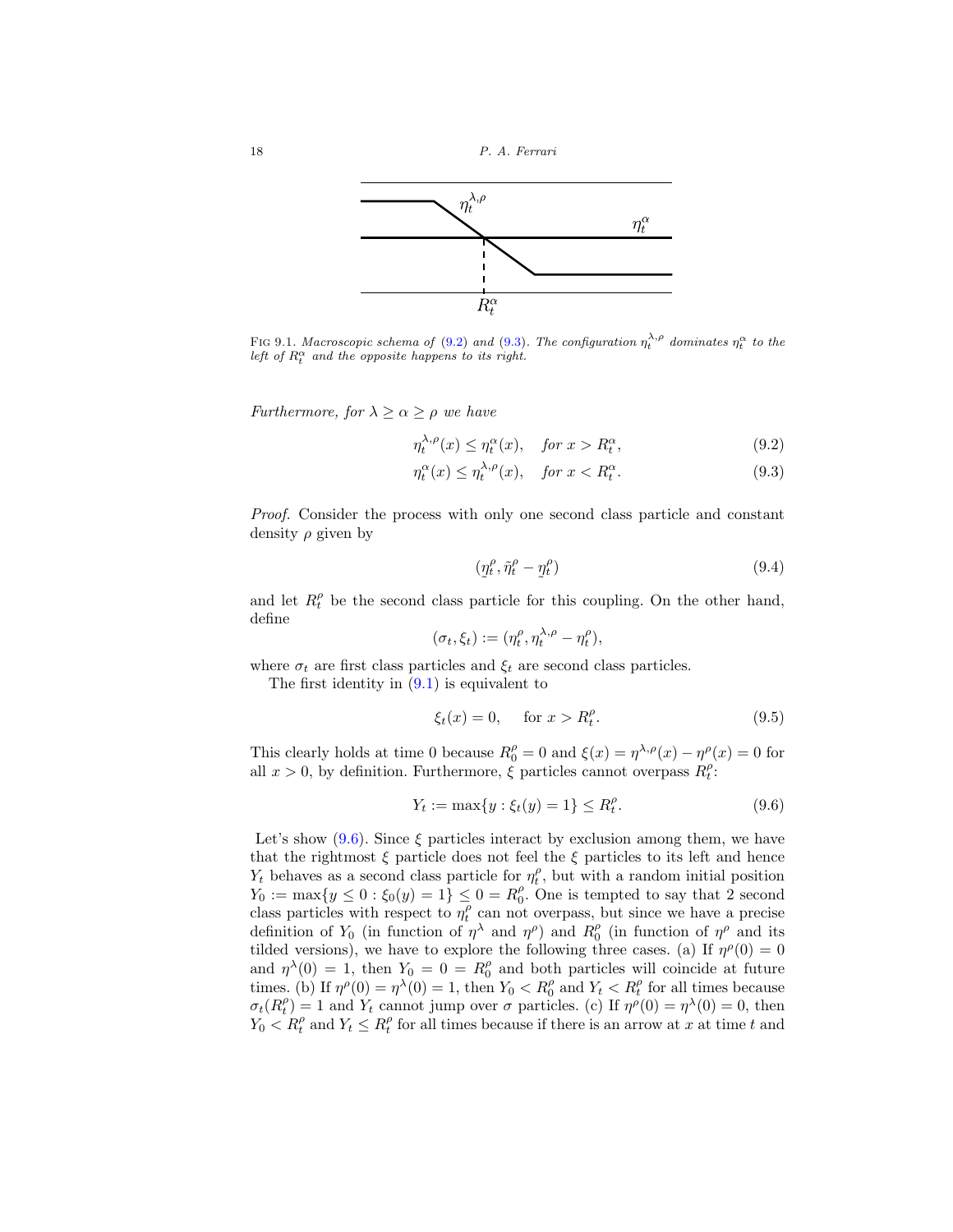

FIG 9.1. Macroscopic schema of [\(9.2\)](#page-17-0) and [\(9.3\)](#page-17-1). The configuration  $\eta_t^{\lambda,\rho}$  dominates  $\eta_t^{\alpha}$  to the left of  $R_t^{\alpha}$  and the opposite happens to its right.

*Furthermore, for*  $\lambda \geq \alpha \geq \rho$  we have

$$
\eta_t^{\lambda,\rho}(x) \le \eta_t^{\alpha}(x), \quad \text{for } x > R_t^{\alpha}, \tag{9.2}
$$

$$
\eta_t^{\alpha}(x) \le \eta_t^{\lambda,\rho}(x), \quad \text{for } x < R_t^{\alpha}.\tag{9.3}
$$

Proof. Consider the process with only one second class particle and constant density  $\rho$  given by

<span id="page-17-1"></span><span id="page-17-0"></span>
$$
(\eta_t^{\rho}, \tilde{\eta}_t^{\rho} - \eta_t^{\rho}) \tag{9.4}
$$

and let  $R_t^{\rho}$  be the second class particle for this coupling. On the other hand, define

$$
(\sigma_t, \xi_t) := (\eta_t^{\rho}, \eta_t^{\lambda, \rho} - \eta_t^{\rho}),
$$

where  $\sigma_t$  are first class particles and  $\xi_t$  are second class particles.

The first identity in  $(9.1)$  is equivalent to

<span id="page-17-2"></span>
$$
\xi_t(x) = 0, \quad \text{for } x > R_t^{\rho}.
$$
\n(9.5)

This clearly holds at time 0 because  $R_0^{\rho} = 0$  and  $\xi(x) = \eta^{\lambda,\rho}(x) - \eta^{\rho}(x) = 0$  for all  $x > 0$ , by definition. Furthermore,  $\xi$  particles cannot overpass  $R_t^{\rho}$ :

$$
Y_t := \max\{y : \xi_t(y) = 1\} \le R_t^{\rho}.
$$
\n(9.6)

Let's show [\(9.6\)](#page-17-2). Since  $\xi$  particles interact by exclusion among them, we have that the rightmost  $\xi$  particle does not feel the  $\xi$  particles to its left and hence  $Y_t$  behaves as a second class particle for  $\eta_t^{\rho}$ , but with a random initial position  $Y_0 := \max\{y \le 0 : \xi_0(y) = 1\} \le 0 = R_0^{\rho}$ . One is tempted to say that 2 second class particles with respect to  $\eta_t^{\rho}$  can not overpass, but since we have a precise definition of  $Y_0$  (in function of  $\eta^{\lambda}$  and  $\eta^{\rho}$ ) and  $R_0^{\rho}$  (in function of  $\eta^{\rho}$  and its tilded versions), we have to explore the following three cases. (a) If  $\eta^{\rho}(0) = 0$ and  $\eta^{\lambda}(0) = 1$ , then  $Y_0 = 0 = R_0^{\rho}$  and both particles will coincide at future times. (b) If  $\eta^{\rho}(0) = \eta^{\lambda}(0) = 1$ , then  $Y_0 < R_0^{\rho}$  and  $Y_t < R_t^{\rho}$  for all times because  $\sigma_t(R_t^{\rho}) = 1$  and  $Y_t$  cannot jump over  $\sigma$  particles. (c) If  $\eta^{\rho}(0) = \eta^{\lambda}(0) = 0$ , then  $Y_0 < R_t^{\rho}$  and  $Y_t \leq R_t^{\rho}$  for all times because if there is an arrow at x at time t and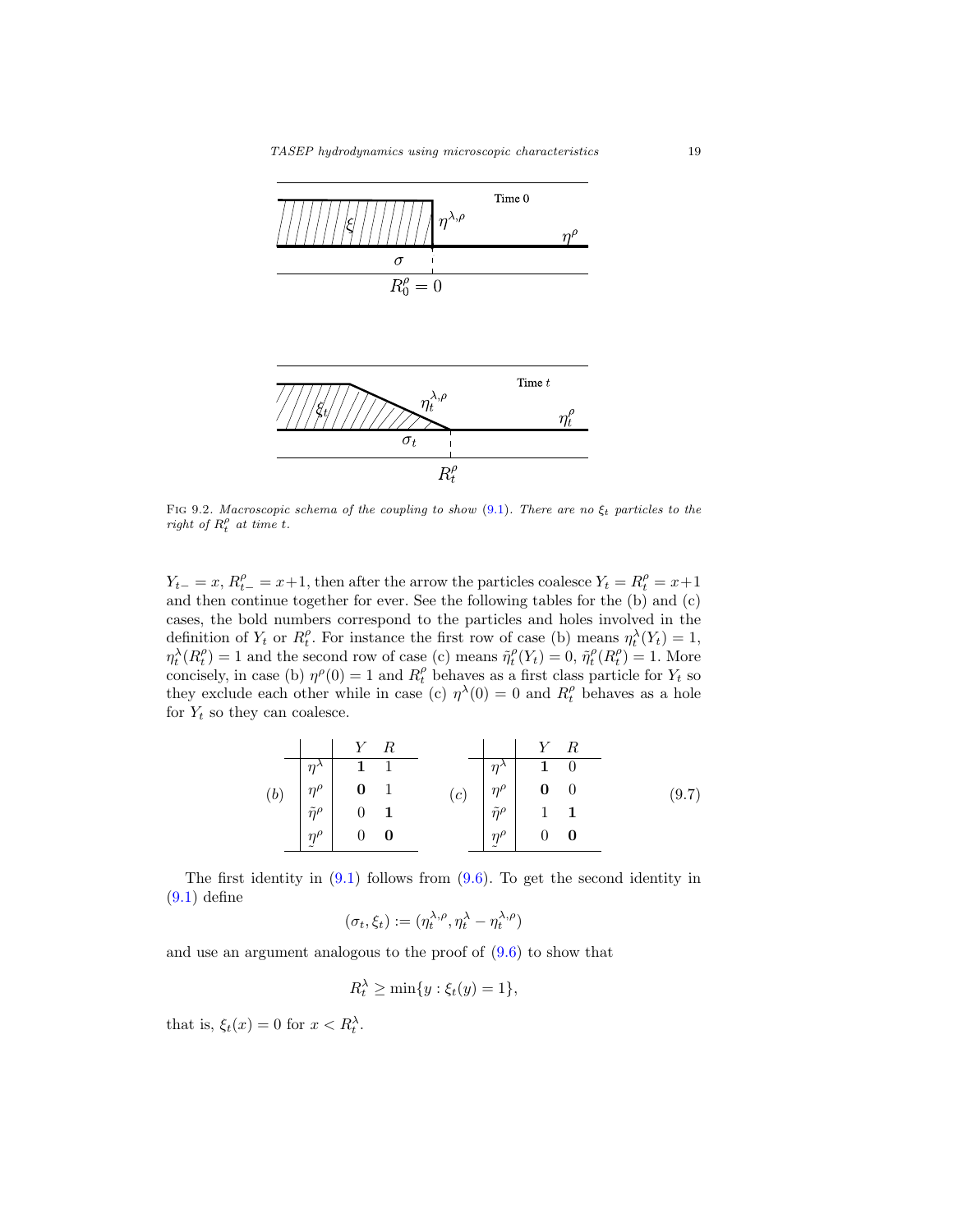



FIG 9.2. Macroscopic schema of the coupling to show [\(9.1\)](#page-16-2). There are no  $\xi_t$  particles to the right of  $R_t^{\rho}$  at time t.

 $Y_{t-} = x, R_t^{\rho} = x+1$ , then after the arrow the particles coalesce  $Y_t = R_t^{\rho} = x+1$ and then continue together for ever. See the following tables for the (b) and (c) cases, the bold numbers correspond to the particles and holes involved in the definition of  $Y_t$  or  $R_t^{\rho}$ . For instance the first row of case (b) means  $\eta_t^{\lambda}(Y_t) = 1$ ,  $\eta_t^{\lambda}(R_t^{\rho}) = 1$  and the second row of case (c) means  $\tilde{\eta}_t^{\rho}(Y_t) = 0$ ,  $\tilde{\eta}_t^{\rho}(R_t^{\rho}) = 1$ . More concisely, in case (b)  $\eta^{\rho}(0) = 1$  and  $R_t^{\rho}$  behaves as a first class particle for  $Y_t$  so they exclude each other while in case (c)  $\eta^{\lambda}(0) = 0$  and  $R_t^{\rho}$  behaves as a hole for  $Y_t$  so they can coalesce.

|     |  | $Y$ R                                                                                                                                   |  |     |  |                                                                                                                                                                  | $Y \ R$ |  |       |
|-----|--|-----------------------------------------------------------------------------------------------------------------------------------------|--|-----|--|------------------------------------------------------------------------------------------------------------------------------------------------------------------|---------|--|-------|
|     |  |                                                                                                                                         |  |     |  |                                                                                                                                                                  |         |  |       |
| (b) |  | $\begin{array}{c cc}\n\eta^{\lambda} & 1 & 1 \\ \eta^{\rho} & 0 & 1 \\ \tilde{\eta}^{\rho} & 0 & 1 \\ \eta^{\rho} & 0 & 0\n\end{array}$ |  | (c) |  | $\begin{array}{c cc} \eta^{\lambda} & {\bf 1} & 0 \ \eta^{\rho} & {\bf 0} & 0 \ \tilde{\eta}^{\rho} & {\bf 1} & {\bf 1} \ \eta^{\rho} & 0 & {\bf 0} \end{array}$ |         |  | (9.7) |
|     |  |                                                                                                                                         |  |     |  |                                                                                                                                                                  |         |  |       |
|     |  |                                                                                                                                         |  |     |  |                                                                                                                                                                  |         |  |       |
|     |  |                                                                                                                                         |  |     |  |                                                                                                                                                                  |         |  |       |

The first identity in  $(9.1)$  follows from  $(9.6)$ . To get the second identity in  $(9.1)$  define

$$
(\sigma_t, \xi_t) := (\eta_t^{\lambda, \rho}, \eta_t^{\lambda} - \eta_t^{\lambda, \rho})
$$

and use an argument analogous to the proof of [\(9.6\)](#page-17-2) to show that

$$
R_t^{\lambda} \ge \min\{y : \xi_t(y) = 1\},\
$$

that is,  $\xi_t(x) = 0$  for  $x < R_t^{\lambda}$ .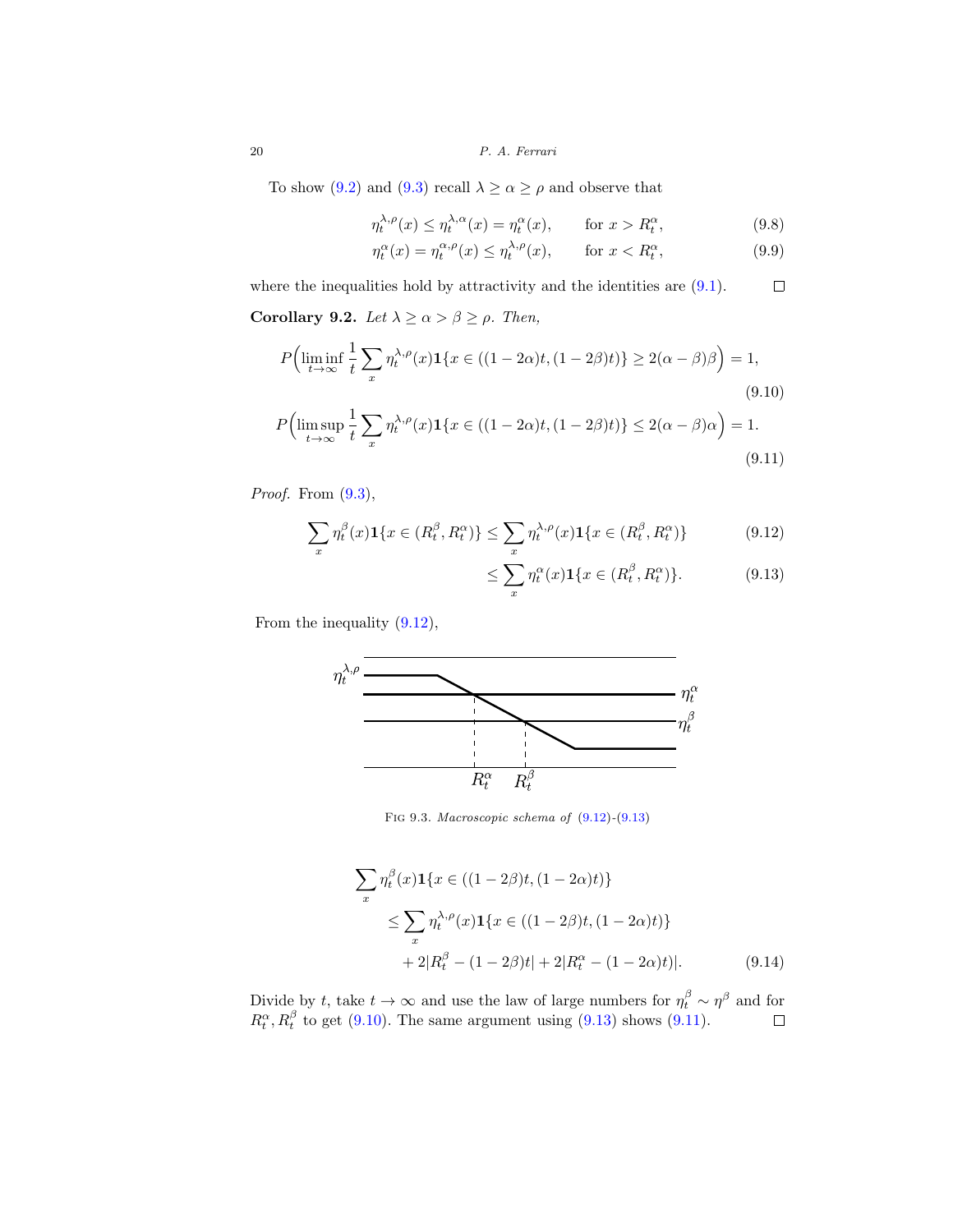20 P. A. Ferrari

To show [\(9.2\)](#page-17-0) and [\(9.3\)](#page-17-1) recall  $\lambda \ge \alpha \ge \rho$  and observe that

$$
\eta_t^{\lambda,\rho}(x) \le \eta_t^{\lambda,\alpha}(x) = \eta_t^{\alpha}(x), \qquad \text{for } x > R_t^{\alpha}, \tag{9.8}
$$

$$
\eta_t^{\alpha}(x) = \eta_t^{\alpha,\rho}(x) \le \eta_t^{\lambda,\rho}(x), \qquad \text{for } x < R_t^{\alpha},\tag{9.9}
$$

where the inequalities hold by attractivity and the identities are  $(9.1)$ .  $\Box$ 

**Corollary 9.2.** Let  $\lambda \ge \alpha > \beta \ge \rho$ . Then,

$$
P\Big(\liminf_{t \to \infty} \frac{1}{t} \sum_{x} \eta_t^{\lambda, \rho}(x) \mathbf{1}\{x \in ((1 - 2\alpha)t, (1 - 2\beta)t)\} \ge 2(\alpha - \beta)\beta\Big) = 1,
$$
\n(9.10)

$$
P\Big(\limsup_{t\to\infty}\frac{1}{t}\sum_{x}\eta_t^{\lambda,\rho}(x)\mathbf{1}\{x\in((1-2\alpha)t,(1-2\beta)t)\}\leq 2(\alpha-\beta)\alpha\Big)=1.
$$
\n(9.11)

Proof. From  $(9.3)$ ,

$$
\sum_{x} \eta_t^{\beta}(x) \mathbf{1}\{x \in (R_t^{\beta}, R_t^{\alpha})\} \le \sum_{x} \eta_t^{\lambda, \rho}(x) \mathbf{1}\{x \in (R_t^{\beta}, R_t^{\alpha})\}
$$
(9.12)

<span id="page-19-3"></span><span id="page-19-2"></span><span id="page-19-1"></span><span id="page-19-0"></span>
$$
\leq \sum_{x} \eta_t^{\alpha}(x) \mathbf{1}\{x \in (R_t^{\beta}, R_t^{\alpha})\}.
$$
 (9.13)

From the inequality [\(9.12\)](#page-19-0),



FIG 9.3. Macroscopic schema of  $(9.12)-(9.13)$  $(9.12)-(9.13)$  $(9.12)-(9.13)$ 

$$
\sum_{x} \eta_t^{\beta}(x) \mathbf{1}\{x \in ((1 - 2\beta)t, (1 - 2\alpha)t)\}\
$$
  
\n
$$
\leq \sum_{x} \eta_t^{\lambda, \rho}(x) \mathbf{1}\{x \in ((1 - 2\beta)t, (1 - 2\alpha)t)\}\
$$
  
\n
$$
+ 2|R_t^{\beta} - (1 - 2\beta)t| + 2|R_t^{\alpha} - (1 - 2\alpha)t|.
$$
 (9.14)

Divide by t, take  $t \to \infty$  and use the law of large numbers for  $\eta_t^{\beta} \sim \eta^{\beta}$  and for  $R_t^{\alpha}, R_t^{\beta}$  to get [\(9.10\)](#page-19-2). The same argument using [\(9.13\)](#page-19-1) shows [\(9.11\)](#page-19-3).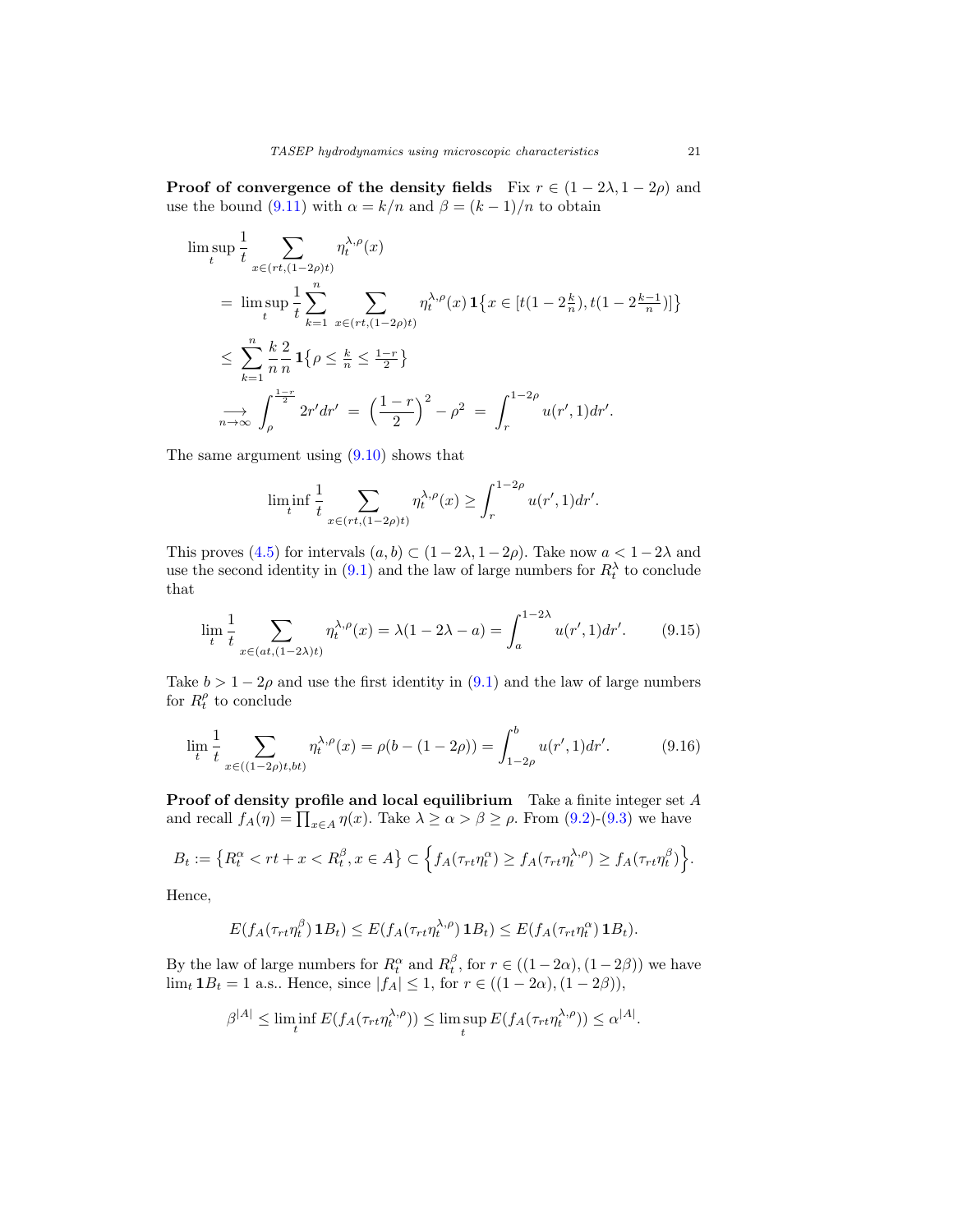**Proof of convergence of the density fields** Fix  $r \in (1 - 2\lambda, 1 - 2\rho)$  and use the bound [\(9.11\)](#page-19-3) with  $\alpha = k/n$  and  $\beta = (k-1)/n$  to obtain

$$
\limsup_{t} \frac{1}{t} \sum_{x \in (rt, (1-2\rho)t)} \eta_t^{\lambda, \rho}(x)
$$
\n
$$
= \limsup_{t} \frac{1}{t} \sum_{k=1}^n \sum_{x \in (rt, (1-2\rho)t)} \eta_t^{\lambda, \rho}(x) \mathbf{1}\{x \in [t(1-2\frac{k}{n}), t(1-2\frac{k-1}{n})]\}
$$
\n
$$
\leq \sum_{k=1}^n \frac{k}{n} \frac{2}{n} \mathbf{1}\{ \rho \leq \frac{k}{n} \leq \frac{1-r}{2} \}
$$
\n
$$
\int_{\rho}^{\frac{1-r}{2}} 2r' dr' = \left(\frac{1-r}{2}\right)^2 - \rho^2 = \int_r^{1-2\rho} u(r', 1) dr'.
$$

The same argument using [\(9.10\)](#page-19-2) shows that

$$
\liminf_{t} \frac{1}{t} \sum_{x \in (rt, (1-2\rho)t)} \eta_t^{\lambda, \rho}(x) \ge \int_r^{1-2\rho} u(r', 1) dr'.
$$

This proves [\(4.5\)](#page-7-0) for intervals  $(a, b) \subset (1-2\lambda, 1-2\rho)$ . Take now  $a < 1-2\lambda$  and use the second identity in  $(9.1)$  and the law of large numbers for  $R_t^{\lambda}$  to conclude that

$$
\lim_{t} \frac{1}{t} \sum_{x \in (at, (1-2\lambda)t)} \eta_t^{\lambda, \rho}(x) = \lambda(1 - 2\lambda - a) = \int_a^{1-2\lambda} u(r', 1) dr'. \tag{9.15}
$$

Take  $b > 1 - 2\rho$  and use the first identity in [\(9.1\)](#page-16-2) and the law of large numbers for  $R_t^{\rho}$  to conclude

$$
\lim_{t} \frac{1}{t} \sum_{x \in ((1-2\rho)t, bt)} \eta_t^{\lambda, \rho}(x) = \rho(b - (1 - 2\rho)) = \int_{1-2\rho}^b u(r', 1) dr'. \tag{9.16}
$$

**Proof of density profile and local equilibrium** Take a finite integer set A and recall  $f_A(\eta) = \prod_{x \in A} \eta(x)$ . Take  $\lambda \ge \alpha > \beta \ge \rho$ . From [\(9.2\)](#page-17-0)-[\(9.3\)](#page-17-1) we have

$$
B_t := \left\{ R_t^{\alpha} < rt + x < R_t^{\beta}, x \in A \right\} \subset \left\{ f_A(\tau_{rt} \eta_t^{\alpha}) \ge f_A(\tau_{rt} \eta_t^{\lambda, \rho}) \ge f_A(\tau_{rt} \eta_t^{\beta}) \right\}.
$$

Hence,

$$
E(f_A(\tau_{rt}\eta_t^{\beta})\mathbf{1}B_t) \leq E(f_A(\tau_{rt}\eta_t^{\lambda,\rho})\mathbf{1}B_t) \leq E(f_A(\tau_{rt}\eta_t^{\alpha})\mathbf{1}B_t).
$$

By the law of large numbers for  $R_t^{\alpha}$  and  $R_t^{\beta}$ , for  $r \in ((1-2\alpha), (1-2\beta))$  we have  $\lim_{t} 1B_t = 1$  a.s.. Hence, since  $|f_A| \leq 1$ , for  $r \in ((1 - 2\alpha), (1 - 2\beta)),$ 

$$
\beta^{|A|} \leq \liminf_{t} E(f_A(\tau_{rt}\eta_t^{\lambda,\rho})) \leq \limsup_{t} E(f_A(\tau_{rt}\eta_t^{\lambda,\rho})) \leq \alpha^{|A|}.
$$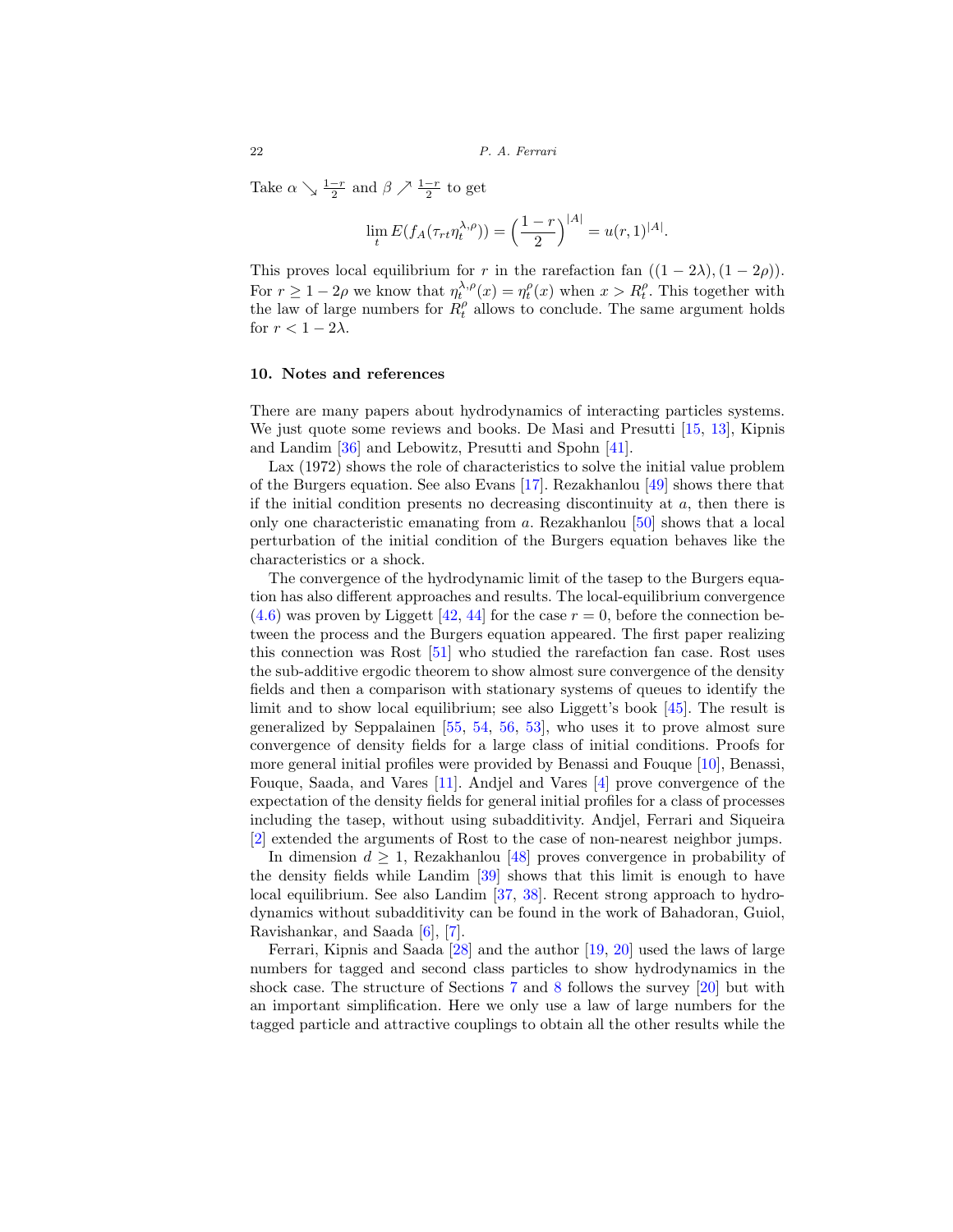Take  $\alpha \searrow \frac{1-r}{2}$  and  $\beta \nearrow \frac{1-r}{2}$  to get

$$
\lim_{t} E(f_A(\tau_{rt} \eta_t^{\lambda,\rho})) = \left(\frac{1-r}{2}\right)^{|A|} = u(r,1)^{|A|}.
$$

This proves local equilibrium for r in the rarefaction fan  $((1 - 2\lambda), (1 - 2\rho))$ . For  $r \geq 1-2\rho$  we know that  $\eta_t^{\lambda,\rho}(x) = \eta_t^{\rho}(x)$  when  $x > R_t^{\rho}$ . This together with the law of large numbers for  $R_t^{\rho}$  allows to conclude. The same argument holds for  $r < 1 - 2\lambda$ .

#### <span id="page-21-0"></span>**10. Notes and references**

There are many papers about hydrodynamics of interacting particles systems. We just quote some reviews and books. De Masi and Presutti [\[15](#page-23-2), [13\]](#page-23-3), Kipnis and Landim [\[36](#page-25-4)] and Lebowitz, Presutti and Spohn [\[41\]](#page-25-5).

Lax (1972) shows the role of characteristics to solve the initial value problem of the Burgers equation. See also Evans [\[17\]](#page-24-4). Rezakhanlou [\[49\]](#page-25-6) shows there that if the initial condition presents no decreasing discontinuity at  $a$ , then there is only one characteristic emanating from a. Rezakhanlou [\[50\]](#page-25-7) shows that a local perturbation of the initial condition of the Burgers equation behaves like the characteristics or a shock.

The convergence of the hydrodynamic limit of the tasep to the Burgers equation has also different approaches and results. The local-equilibrium convergence  $(4.6)$  was proven by Liggett [\[42](#page-25-8), [44\]](#page-25-9) for the case  $r = 0$ , before the connection between the process and the Burgers equation appeared. The first paper realizing this connection was Rost [\[51\]](#page-25-0) who studied the rarefaction fan case. Rost uses the sub-additive ergodic theorem to show almost sure convergence of the density fields and then a comparison with stationary systems of queues to identify the limit and to show local equilibrium; see also Liggett's book [\[45](#page-25-10)]. The result is generalized by Seppalainen [\[55,](#page-26-1) [54,](#page-25-11) [56,](#page-26-2) [53\]](#page-25-12), who uses it to prove almost sure convergence of density fields for a large class of initial conditions. Proofs for more general initial profiles were provided by Benassi and Fouque [\[10](#page-23-4)], Benassi, Fouque, Saada, and Vares [\[11\]](#page-23-5). Andjel and Vares [\[4](#page-23-6)] prove convergence of the expectation of the density fields for general initial profiles for a class of processes including the tasep, without using subadditivity. Andjel, Ferrari and Siqueira [\[2](#page-23-7)] extended the arguments of Rost to the case of non-nearest neighbor jumps.

In dimension  $d > 1$ , Rezakhanlou [\[48](#page-25-13)] proves convergence in probability of the density fields while Landim [\[39](#page-25-14)] shows that this limit is enough to have local equilibrium. See also Landim [\[37](#page-25-15), [38](#page-25-16)]. Recent strong approach to hydrodynamics without subadditivity can be found in the work of Bahadoran, Guiol, Ravishankar, and Saada [\[6\]](#page-23-8), [\[7](#page-23-9)].

Ferrari, Kipnis and Saada [\[28](#page-24-5)] and the author [\[19](#page-24-6), [20](#page-24-7)] used the laws of large numbers for tagged and second class particles to show hydrodynamics in the shock case. The structure of Sections [7](#page-11-0) and [8](#page-14-0) follows the survey [\[20\]](#page-24-7) but with an important simplification. Here we only use a law of large numbers for the tagged particle and attractive couplings to obtain all the other results while the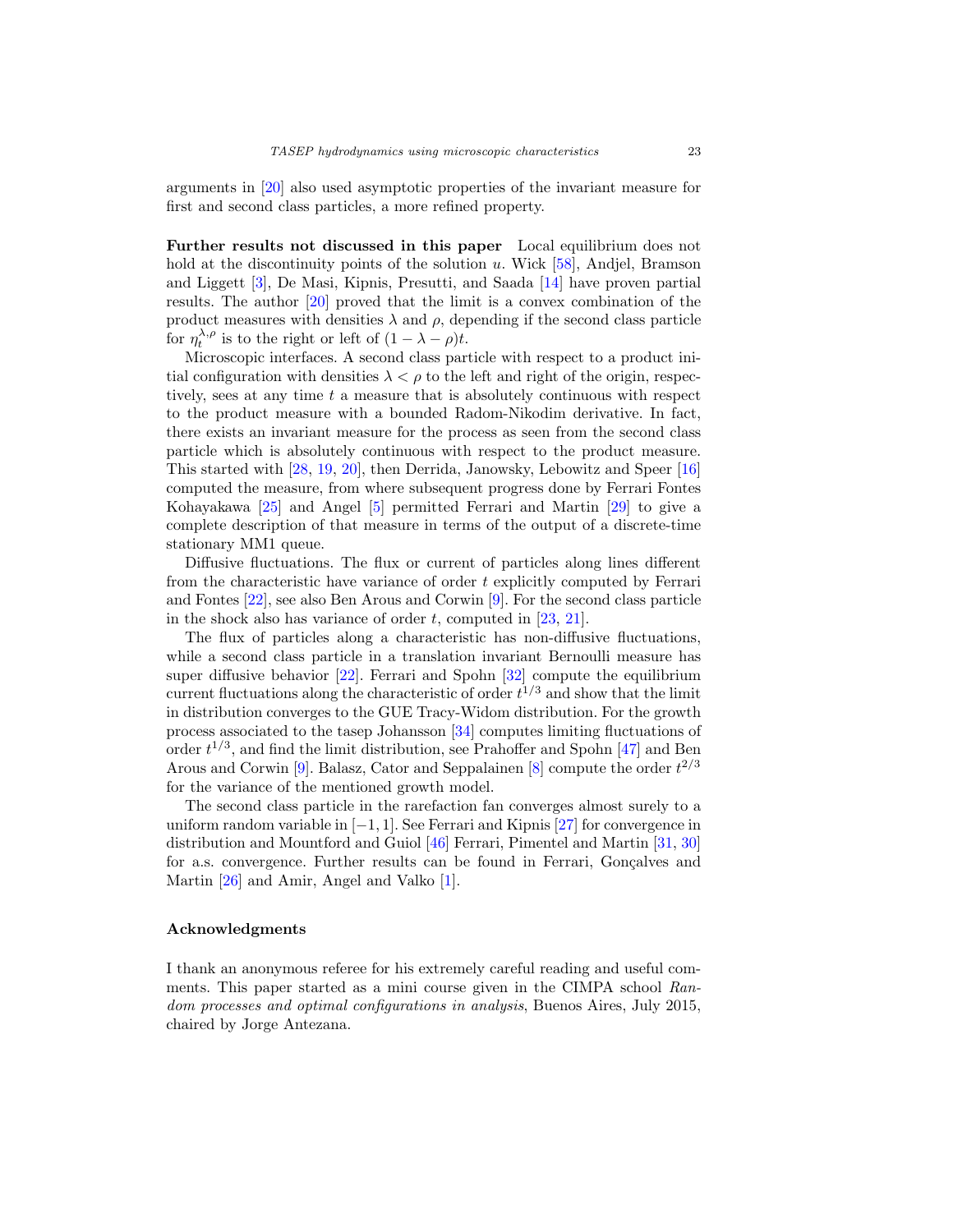arguments in [\[20](#page-24-7)] also used asymptotic properties of the invariant measure for first and second class particles, a more refined property.

**Further results not discussed in this paper** Local equilibrium does not hold at the discontinuity points of the solution  $u$ . Wick [\[58](#page-26-3)], Andjel, Bramson and Liggett [\[3](#page-23-10)], De Masi, Kipnis, Presutti, and Saada [\[14](#page-23-11)] have proven partial results. The author [\[20\]](#page-24-7) proved that the limit is a convex combination of the product measures with densities  $\lambda$  and  $\rho$ , depending if the second class particle for  $\eta_t^{\lambda,\rho}$  is to the right or left of  $(1-\lambda-\rho)t$ .

Microscopic interfaces. A second class particle with respect to a product initial configuration with densities  $\lambda < \rho$  to the left and right of the origin, respectively, sees at any time t a measure that is absolutely continuous with respect to the product measure with a bounded Radom-Nikodim derivative. In fact, there exists an invariant measure for the process as seen from the second class particle which is absolutely continuous with respect to the product measure. This started with [\[28](#page-24-5), [19,](#page-24-6) [20\]](#page-24-7), then Derrida, Janowsky, Lebowitz and Speer [\[16\]](#page-23-12) computed the measure, from where subsequent progress done by Ferrari Fontes Kohayakawa [\[25\]](#page-24-8) and Angel [\[5\]](#page-23-13) permitted Ferrari and Martin [\[29\]](#page-24-9) to give a complete description of that measure in terms of the output of a discrete-time stationary MM1 queue.

Diffusive fluctuations. The flux or current of particles along lines different from the characteristic have variance of order t explicitly computed by Ferrari and Fontes [\[22](#page-24-10)], see also Ben Arous and Corwin [\[9](#page-23-14)]. For the second class particle in the shock also has variance of order t, computed in  $[23, 21]$  $[23, 21]$  $[23, 21]$  $[23, 21]$ .

The flux of particles along a characteristic has non-diffusive fluctuations, while a second class particle in a translation invariant Bernoulli measure has super diffusive behavior [\[22](#page-24-10)]. Ferrari and Spohn [\[32](#page-24-13)] compute the equilibrium current fluctuations along the characteristic of order  $t^{1/3}$  and show that the limit in distribution converges to the GUE Tracy-Widom distribution. For the growth process associated to the tasep Johansson [\[34](#page-24-14)] computes limiting fluctuations of order  $t^{1/3}$ , and find the limit distribution, see Prahoffer and Spohn [\[47](#page-25-17)] and Ben Arous and Corwin [\[9](#page-23-14)]. Balasz, Cator and Seppalainen [\[8](#page-23-15)] compute the order  $t^{2/3}$ for the variance of the mentioned growth model.

The second class particle in the rarefaction fan converges almost surely to a uniform random variable in  $[-1, 1]$ . See Ferrari and Kipnis [\[27\]](#page-24-15) for convergence in distribution and Mountford and Guiol [\[46](#page-25-18)] Ferrari, Pimentel and Martin [\[31](#page-24-16), [30\]](#page-24-17) for a.s. convergence. Further results can be found in Ferrari, Gonçalves and Martin [\[26](#page-24-18)] and Amir, Angel and Valko [\[1](#page-23-16)].

#### <span id="page-22-0"></span>**Acknowledgments**

I thank an anonymous referee for his extremely careful reading and useful comments. This paper started as a mini course given in the CIMPA school Random processes and optimal configurations in analysis, Buenos Aires, July 2015, chaired by Jorge Antezana.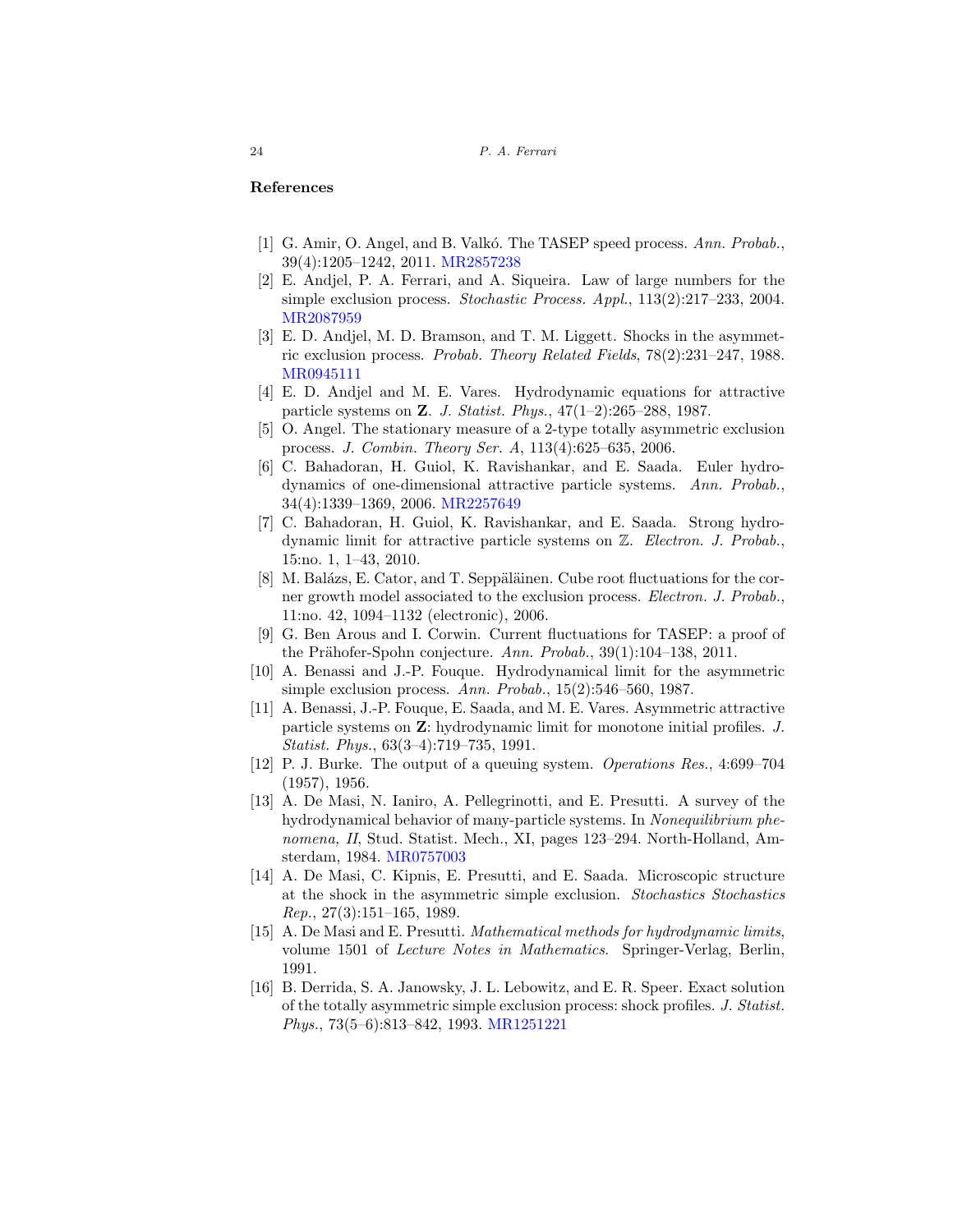#### <span id="page-23-0"></span>**References**

- <span id="page-23-16"></span>[1] G. Amir, O. Angel, and B. Valkó. The TASEP speed process. Ann. Probab., 39(4):1205–1242, 2011. [MR2857238](http://www.ams.org/mathscinet-getitem?mr=2857238)
- <span id="page-23-7"></span>[2] E. Andjel, P. A. Ferrari, and A. Siqueira. Law of large numbers for the simple exclusion process. Stochastic Process. Appl., 113(2):217–233, 2004. [MR2087959](http://www.ams.org/mathscinet-getitem?mr=2087959)
- <span id="page-23-10"></span>[3] E. D. Andjel, M. D. Bramson, and T. M. Liggett. Shocks in the asymmetric exclusion process. Probab. Theory Related Fields, 78(2):231–247, 1988. [MR0945111](http://www.ams.org/mathscinet-getitem?mr=0945111)
- <span id="page-23-6"></span>[4] E. D. Andjel and M. E. Vares. Hydrodynamic equations for attractive particle systems on **Z**. J. Statist. Phys., 47(1–2):265–288, 1987.
- <span id="page-23-13"></span>[5] O. Angel. The stationary measure of a 2-type totally asymmetric exclusion process. J. Combin. Theory Ser. A, 113(4):625–635, 2006.
- <span id="page-23-8"></span>[6] C. Bahadoran, H. Guiol, K. Ravishankar, and E. Saada. Euler hydrodynamics of one-dimensional attractive particle systems. Ann. Probab., 34(4):1339–1369, 2006. [MR2257649](http://www.ams.org/mathscinet-getitem?mr=2257649)
- <span id="page-23-9"></span>[7] C. Bahadoran, H. Guiol, K. Ravishankar, and E. Saada. Strong hydrodynamic limit for attractive particle systems on  $\mathbb{Z}$ . Electron. J. Probab., 15:no. 1, 1–43, 2010.
- <span id="page-23-15"></span>[8] M. Balázs, E. Cator, and T. Seppäläinen. Cube root fluctuations for the corner growth model associated to the exclusion process. Electron. J. Probab., 11:no. 42, 1094–1132 (electronic), 2006.
- <span id="page-23-14"></span>[9] G. Ben Arous and I. Corwin. Current fluctuations for TASEP: a proof of the Prähofer-Spohn conjecture. Ann. Probab.,  $39(1):104-138$ ,  $2011$ .
- <span id="page-23-4"></span>[10] A. Benassi and J.-P. Fouque. Hydrodynamical limit for the asymmetric simple exclusion process. Ann. Probab., 15(2):546–560, 1987.
- <span id="page-23-5"></span>[11] A. Benassi, J.-P. Fouque, E. Saada, and M. E. Vares. Asymmetric attractive particle systems on **Z**: hydrodynamic limit for monotone initial profiles. J. Statist. Phys., 63(3–4):719–735, 1991.
- <span id="page-23-1"></span>[12] P. J. Burke. The output of a queuing system. Operations Res., 4:699–704 (1957), 1956.
- <span id="page-23-3"></span>[13] A. De Masi, N. Ianiro, A. Pellegrinotti, and E. Presutti. A survey of the hydrodynamical behavior of many-particle systems. In Nonequilibrium phenomena, II, Stud. Statist. Mech., XI, pages 123–294. North-Holland, Amsterdam, 1984. [MR0757003](http://www.ams.org/mathscinet-getitem?mr=0757003)
- <span id="page-23-11"></span>[14] A. De Masi, C. Kipnis, E. Presutti, and E. Saada. Microscopic structure at the shock in the asymmetric simple exclusion. Stochastics Stochastics Rep., 27(3):151–165, 1989.
- <span id="page-23-2"></span>[15] A. De Masi and E. Presutti. Mathematical methods for hydrodynamic limits, volume 1501 of Lecture Notes in Mathematics. Springer-Verlag, Berlin, 1991.
- <span id="page-23-12"></span>[16] B. Derrida, S. A. Janowsky, J. L. Lebowitz, and E. R. Speer. Exact solution of the totally asymmetric simple exclusion process: shock profiles. J. Statist. Phys., 73(5–6):813–842, 1993. [MR1251221](http://www.ams.org/mathscinet-getitem?mr=1251221)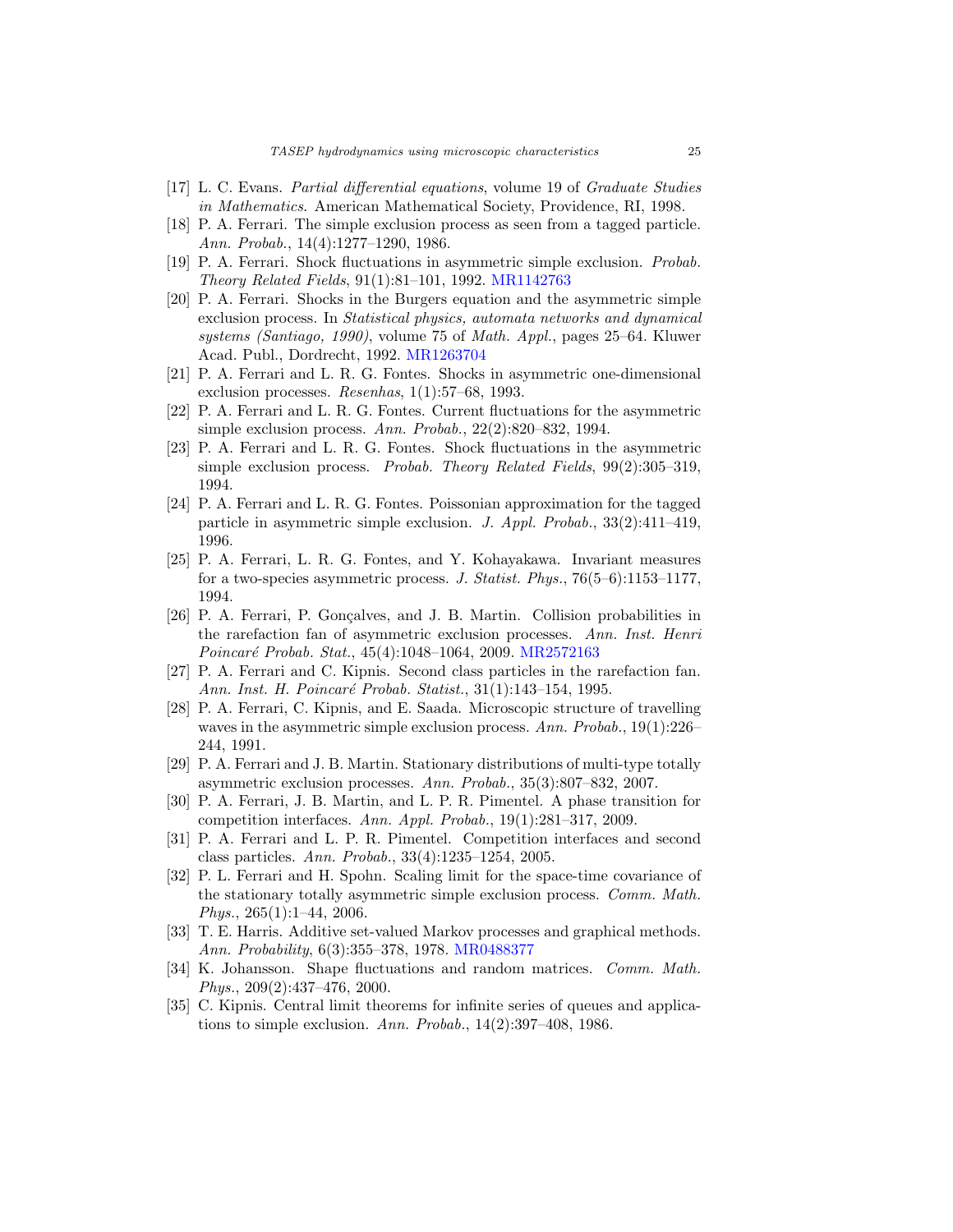- <span id="page-24-4"></span>[17] L. C. Evans. Partial differential equations, volume 19 of Graduate Studies in Mathematics. American Mathematical Society, Providence, RI, 1998.
- <span id="page-24-1"></span>[18] P. A. Ferrari. The simple exclusion process as seen from a tagged particle. Ann. Probab., 14(4):1277–1290, 1986.
- <span id="page-24-6"></span>[19] P. A. Ferrari. Shock fluctuations in asymmetric simple exclusion. Probab. Theory Related Fields, 91(1):81–101, 1992. [MR1142763](http://www.ams.org/mathscinet-getitem?mr=1142763)
- <span id="page-24-7"></span>[20] P. A. Ferrari. Shocks in the Burgers equation and the asymmetric simple exclusion process. In Statistical physics, automata networks and dynamical systems (Santiago, 1990), volume 75 of Math. Appl., pages 25–64. Kluwer Acad. Publ., Dordrecht, 1992. [MR1263704](http://www.ams.org/mathscinet-getitem?mr=1263704)
- <span id="page-24-12"></span>[21] P. A. Ferrari and L. R. G. Fontes. Shocks in asymmetric one-dimensional exclusion processes. Resenhas, 1(1):57–68, 1993.
- <span id="page-24-10"></span>[22] P. A. Ferrari and L. R. G. Fontes. Current fluctuations for the asymmetric simple exclusion process. Ann. Probab., 22(2):820–832, 1994.
- <span id="page-24-11"></span>[23] P. A. Ferrari and L. R. G. Fontes. Shock fluctuations in the asymmetric simple exclusion process. Probab. Theory Related Fields, 99(2):305–319, 1994.
- <span id="page-24-3"></span>[24] P. A. Ferrari and L. R. G. Fontes. Poissonian approximation for the tagged particle in asymmetric simple exclusion. J. Appl. Probab., 33(2):411–419, 1996.
- <span id="page-24-8"></span>[25] P. A. Ferrari, L. R. G. Fontes, and Y. Kohayakawa. Invariant measures for a two-species asymmetric process. J. Statist. Phys., 76(5–6):1153–1177, 1994.
- <span id="page-24-18"></span>[26] P. A. Ferrari, P. Gonçalves, and J. B. Martin. Collision probabilities in the rarefaction fan of asymmetric exclusion processes. Ann. Inst. Henri Poincaré Probab. Stat., 45(4):1048–1064, 2009. [MR2572163](http://www.ams.org/mathscinet-getitem?mr=2572163)
- <span id="page-24-15"></span>[27] P. A. Ferrari and C. Kipnis. Second class particles in the rarefaction fan. Ann. Inst. H. Poincaré Probab. Statist., 31(1):143–154, 1995.
- <span id="page-24-5"></span>[28] P. A. Ferrari, C. Kipnis, and E. Saada. Microscopic structure of travelling waves in the asymmetric simple exclusion process. Ann. Probab., 19(1):226-244, 1991.
- <span id="page-24-9"></span>[29] P. A. Ferrari and J. B. Martin. Stationary distributions of multi-type totally asymmetric exclusion processes. Ann. Probab., 35(3):807–832, 2007.
- <span id="page-24-17"></span>[30] P. A. Ferrari, J. B. Martin, and L. P. R. Pimentel. A phase transition for competition interfaces. Ann. Appl. Probab., 19(1):281–317, 2009.
- <span id="page-24-16"></span>[31] P. A. Ferrari and L. P. R. Pimentel. Competition interfaces and second class particles. Ann. Probab., 33(4):1235–1254, 2005.
- <span id="page-24-13"></span>[32] P. L. Ferrari and H. Spohn. Scaling limit for the space-time covariance of the stationary totally asymmetric simple exclusion process. Comm. Math. Phys., 265(1):1–44, 2006.
- <span id="page-24-0"></span>[33] T. E. Harris. Additive set-valued Markov processes and graphical methods. Ann. Probability, 6(3):355–378, 1978. [MR0488377](http://www.ams.org/mathscinet-getitem?mr=0488377)
- <span id="page-24-14"></span>[34] K. Johansson. Shape fluctuations and random matrices. Comm. Math. Phys., 209(2):437–476, 2000.
- <span id="page-24-2"></span>[35] C. Kipnis. Central limit theorems for infinite series of queues and applications to simple exclusion. Ann. Probab., 14(2):397–408, 1986.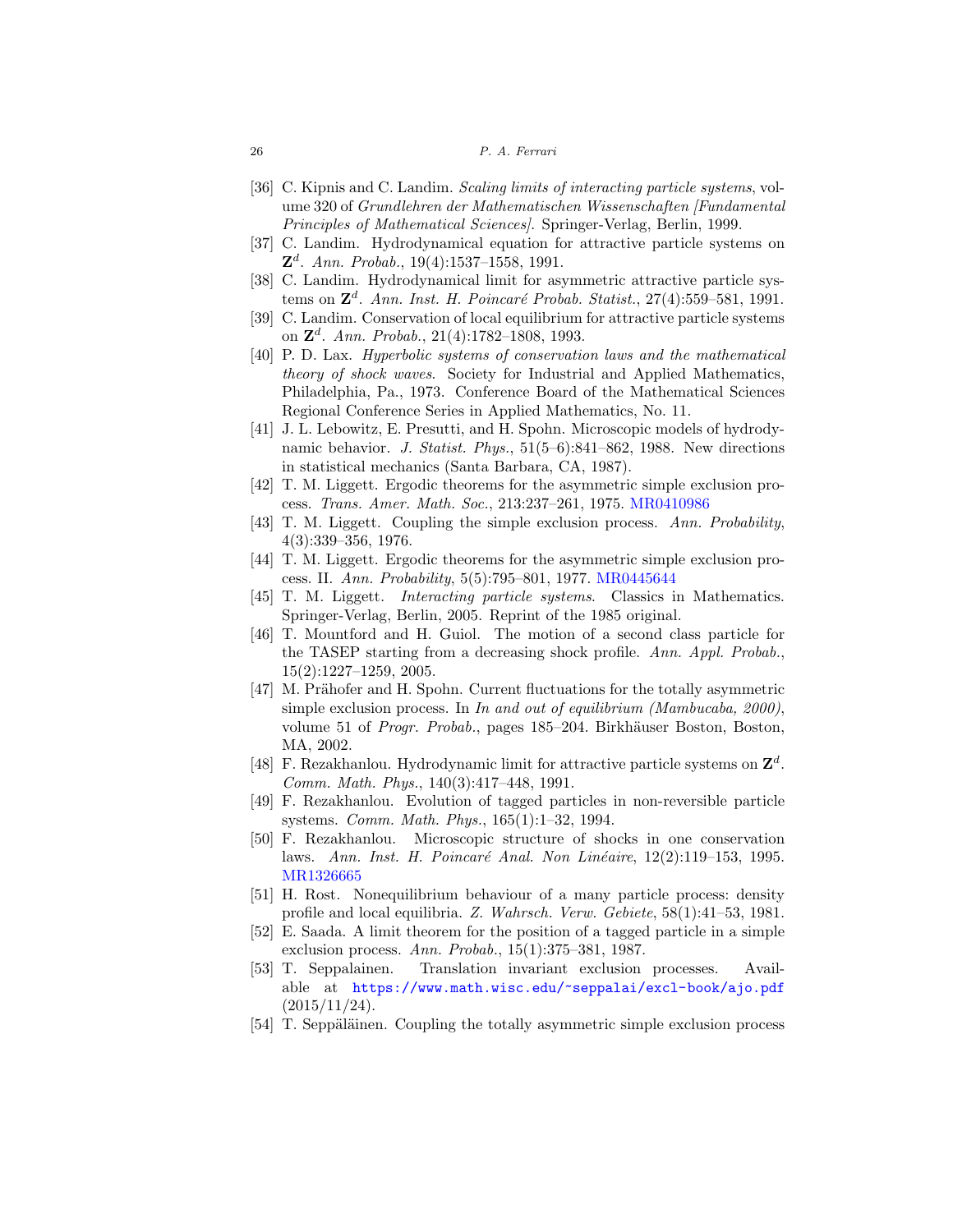#### 26 P. A. Ferrari

- <span id="page-25-4"></span>[36] C. Kipnis and C. Landim. Scaling limits of interacting particle systems, volume 320 of Grundlehren der Mathematischen Wissenschaften [Fundamental Principles of Mathematical Sciences]. Springer-Verlag, Berlin, 1999.
- <span id="page-25-15"></span>[37] C. Landim. Hydrodynamical equation for attractive particle systems on **Z**d. Ann. Probab., 19(4):1537–1558, 1991.
- <span id="page-25-16"></span>[38] C. Landim. Hydrodynamical limit for asymmetric attractive particle systems on  $\mathbb{Z}^d$ . Ann. Inst. H. Poincaré Probab. Statist., 27(4):559–581, 1991.
- <span id="page-25-14"></span>[39] C. Landim. Conservation of local equilibrium for attractive particle systems on **Z**d. Ann. Probab., 21(4):1782–1808, 1993.
- <span id="page-25-1"></span>[40] P. D. Lax. Hyperbolic systems of conservation laws and the mathematical theory of shock waves. Society for Industrial and Applied Mathematics, Philadelphia, Pa., 1973. Conference Board of the Mathematical Sciences Regional Conference Series in Applied Mathematics, No. 11.
- <span id="page-25-5"></span>[41] J. L. Lebowitz, E. Presutti, and H. Spohn. Microscopic models of hydrodynamic behavior. J. Statist. Phys.,  $51(5-6)$ :841–862, 1988. New directions in statistical mechanics (Santa Barbara, CA, 1987).
- <span id="page-25-8"></span>[42] T. M. Liggett. Ergodic theorems for the asymmetric simple exclusion process. Trans. Amer. Math. Soc., 213:237–261, 1975. [MR0410986](http://www.ams.org/mathscinet-getitem?mr=0410986)
- <span id="page-25-2"></span>[43] T. M. Liggett. Coupling the simple exclusion process. Ann. Probability, 4(3):339–356, 1976.
- <span id="page-25-9"></span>[44] T. M. Liggett. Ergodic theorems for the asymmetric simple exclusion process. II. Ann. Probability, 5(5):795–801, 1977. [MR0445644](http://www.ams.org/mathscinet-getitem?mr=0445644)
- <span id="page-25-10"></span>[45] T. M. Liggett. Interacting particle systems. Classics in Mathematics. Springer-Verlag, Berlin, 2005. Reprint of the 1985 original.
- <span id="page-25-18"></span>[46] T. Mountford and H. Guiol. The motion of a second class particle for the TASEP starting from a decreasing shock profile. Ann. Appl. Probab., 15(2):1227–1259, 2005.
- <span id="page-25-17"></span>[47] M. Prähofer and H. Spohn. Current fluctuations for the totally asymmetric simple exclusion process. In In and out of equilibrium (Mambucaba, 2000), volume 51 of *Progr. Probab.*, pages 185–204. Birkhäuser Boston, Boston, MA, 2002.
- <span id="page-25-13"></span>[48] F. Rezakhanlou. Hydrodynamic limit for attractive particle systems on **Z**<sup>d</sup>. Comm. Math. Phys., 140(3):417–448, 1991.
- <span id="page-25-6"></span>[49] F. Rezakhanlou. Evolution of tagged particles in non-reversible particle systems. Comm. Math. Phys., 165(1):1–32, 1994.
- <span id="page-25-7"></span>[50] F. Rezakhanlou. Microscopic structure of shocks in one conservation laws. Ann. Inst. H. Poincaré Anal. Non Linéaire,  $12(2):119-153$ , 1995. [MR1326665](http://www.ams.org/mathscinet-getitem?mr=1326665)
- <span id="page-25-0"></span>[51] H. Rost. Nonequilibrium behaviour of a many particle process: density profile and local equilibria. Z. Wahrsch. Verw. Gebiete, 58(1):41–53, 1981.
- <span id="page-25-3"></span>[52] E. Saada. A limit theorem for the position of a tagged particle in a simple exclusion process. Ann. Probab., 15(1):375–381, 1987.
- <span id="page-25-12"></span>[53] T. Seppalainen. Translation invariant exclusion processes. Available at <https://www.math.wisc.edu/~seppalai/excl-book/ajo.pdf> (2015/11/24).
- <span id="page-25-11"></span>[54] T. Seppäläinen. Coupling the totally asymmetric simple exclusion process